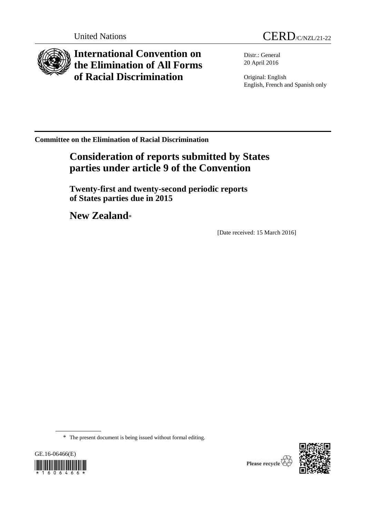

**International Convention on the Elimination of All Forms of Racial Discrimination**



Distr.: General 20 April 2016

Original: English English, French and Spanish only

**Committee on the Elimination of Racial Discrimination**

# **Consideration of reports submitted by States parties under article 9 of the Convention**

**Twenty-first and twenty-second periodic reports of States parties due in 2015**

**New Zealand**\*

[Date received: 15 March 2016]

\* The present document is being issued without formal editing.





Please recycle<sup></sup>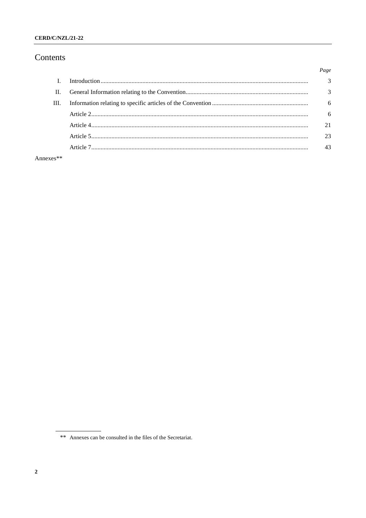# CERD/C/NZL/21-22

# Contents

|      | Page           |
|------|----------------|
|      | $\overline{3}$ |
| H.   | $\mathcal{R}$  |
| III. | 6              |
|      | 6              |
|      | 21             |
|      | 23             |
|      | 43             |
|      |                |

Annexes\*\*

<sup>\*\*</sup> Annexes can be consulted in the files of the Secretariat.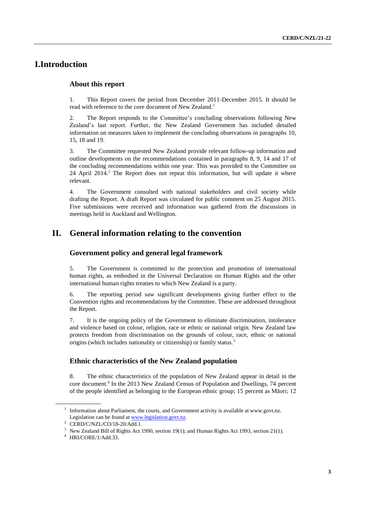# **I.Introduction**

# **About this report**

1. This Report covers the period from December 2011-December 2015. It should be read with reference to the core document of New Zealand.<sup>1</sup>

2. The Report responds to the Committee's concluding observations following New Zealand's last report. Further, the New Zealand Government has included detailed information on measures taken to implement the concluding observations in paragraphs 10, 15, 18 and 19.

3. The Committee requested New Zealand provide relevant follow-up information and outline developments on the recommendations contained in paragraphs 8, 9, 14 and 17 of the concluding recommendations within one year. This was provided to the Committee on  $24$  April  $2014$ <sup>2</sup>. The Report does not repeat this information, but will update it where relevant.

4. The Government consulted with national stakeholders and civil society while drafting the Report. A draft Report was circulated for public comment on 25 August 2015. Five submissions were received and information was gathered from the discussions in meetings held in Auckland and Wellington.

# **II. General information relating to the convention**

# **Government policy and general legal framework**

5. The Government is committed to the protection and promotion of international human rights, as embodied in the Universal Declaration on Human Rights and the other international human rights treaties to which New Zealand is a party.

6. The reporting period saw significant developments giving further effect to the Convention rights and recommendations by the Committee. These are addressed throughout the Report.

7. It is the ongoing policy of the Government to eliminate discrimination, intolerance and violence based on colour, religion, race or ethnic or national origin. New Zealand law protects freedom from discrimination on the grounds of colour, race, ethnic or national origins (which includes nationality or citizenship) or family status.<sup>3</sup>

# **Ethnic characteristics of the New Zealand population**

8. The ethnic characteristics of the population of New Zealand appear in detail in the core document.<sup>4</sup> In the 2013 New Zealand Census of Population and Dwellings, 74 percent of the people identified as belonging to the European ethnic group; 15 percent as Māori; 12

<sup>&</sup>lt;sup>1</sup> Information about Parliament, the courts, and Government activity is available at www.govt.nz. Legislation can be found a[t www.legislation.govt.nz.](http://www.legislation.govt.nz/)

 $2$  CERD/C/NZL/CO/18-20/Add.1.

<sup>&</sup>lt;sup>3</sup> New Zealand Bill of Rights Act 1990, section 19(1); and Human Rights Act 1993, section 21(1).

<sup>4</sup> HRI/CORE/1/Add.33.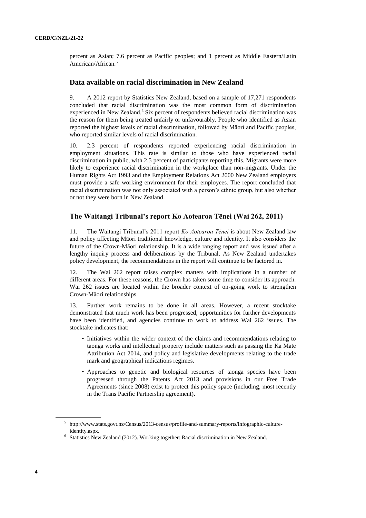percent as Asian; 7.6 percent as Pacific peoples; and 1 percent as Middle Eastern/Latin American/African.<sup>5</sup>

# **Data available on racial discrimination in New Zealand**

9. A 2012 report by Statistics New Zealand, based on a sample of 17,271 respondents concluded that racial discrimination was the most common form of discrimination experienced in New Zealand.<sup>6</sup> Six percent of respondents believed racial discrimination was the reason for them being treated unfairly or unfavourably. People who identified as Asian reported the highest levels of racial discrimination, followed by Māori and Pacific peoples, who reported similar levels of racial discrimination.

10. 2.3 percent of respondents reported experiencing racial discrimination in employment situations. This rate is similar to those who have experienced racial discrimination in public, with 2.5 percent of participants reporting this. Migrants were more likely to experience racial discrimination in the workplace than non-migrants. Under the Human Rights Act 1993 and the Employment Relations Act 2000 New Zealand employers must provide a safe working environment for their employees. The report concluded that racial discrimination was not only associated with a person's ethnic group, but also whether or not they were born in New Zealand.

# **The Waitangi Tribunal's report Ko Aotearoa Tēnei (Wai 262, 2011)**

11. The Waitangi Tribunal's 2011 report *Ko Aotearoa Tēnei* is about New Zealand law and policy affecting Māori traditional knowledge, culture and identity. It also considers the future of the Crown-Māori relationship. It is a wide ranging report and was issued after a lengthy inquiry process and deliberations by the Tribunal. As New Zealand undertakes policy development, the recommendations in the report will continue to be factored in.

12. The Wai 262 report raises complex matters with implications in a number of different areas. For these reasons, the Crown has taken some time to consider its approach. Wai 262 issues are located within the broader context of on-going work to strengthen Crown-Māori relationships.

13. Further work remains to be done in all areas. However, a recent stocktake demonstrated that much work has been progressed, opportunities for further developments have been identified, and agencies continue to work to address Wai 262 issues. The stocktake indicates that:

- Initiatives within the wider context of the claims and recommendations relating to taonga works and intellectual property include matters such as passing the Ka Mate Attribution Act 2014, and policy and legislative developments relating to the trade mark and geographical indications regimes.
- Approaches to genetic and biological resources of taonga species have been progressed through the Patents Act 2013 and provisions in our Free Trade Agreements (since 2008) exist to protect this policy space (including, most recently in the Trans Pacific Partnership agreement).

<sup>5</sup> http://www.stats.govt.nz/Census/2013-census/profile-and-summary-reports/infographic-cultureidentity.aspx.

<sup>&</sup>lt;sup>6</sup> Statistics New Zealand (2012). Working together: Racial discrimination in New Zealand.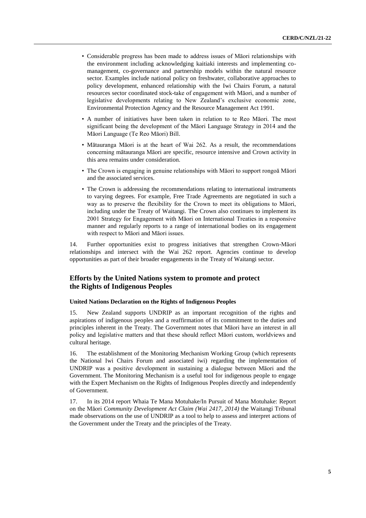- Considerable progress has been made to address issues of Māori relationships with the environment including acknowledging kaitiaki interests and implementing comanagement, co-governance and partnership models within the natural resource sector. Examples include national policy on freshwater, collaborative approaches to policy development, enhanced relationship with the Iwi Chairs Forum, a natural resources sector coordinated stock-take of engagement with Māori, and a number of legislative developments relating to New Zealand's exclusive economic zone, Environmental Protection Agency and the Resource Management Act 1991.
- A number of initiatives have been taken in relation to te Reo Māori. The most significant being the development of the Māori Language Strategy in 2014 and the Māori Language (Te Reo Māori) Bill.
- Mātauranga Māori is at the heart of Wai 262. As a result, the recommendations concerning mātauranga Māori are specific, resource intensive and Crown activity in this area remains under consideration.
- The Crown is engaging in genuine relationships with Māori to support rongoā Māori and the associated services.
- The Crown is addressing the recommendations relating to international instruments to varying degrees. For example, Free Trade Agreements are negotiated in such a way as to preserve the flexibility for the Crown to meet its obligations to Māori, including under the Treaty of Waitangi. The Crown also continues to implement its 2001 Strategy for Engagement with Māori on International Treaties in a responsive manner and regularly reports to a range of international bodies on its engagement with respect to Māori and Māori issues.

14. Further opportunities exist to progress initiatives that strengthen Crown-Māori relationships and intersect with the Wai 262 report. Agencies continue to develop opportunities as part of their broader engagements in the Treaty of Waitangi sector.

# **Efforts by the United Nations system to promote and protect the Rights of Indigenous Peoples**

# **United Nations Declaration on the Rights of Indigenous Peoples**

15. New Zealand supports UNDRIP as an important recognition of the rights and aspirations of indigenous peoples and a reaffirmation of its commitment to the duties and principles inherent in the Treaty. The Government notes that Māori have an interest in all policy and legislative matters and that these should reflect Māori custom, worldviews and cultural heritage.

16. The establishment of the Monitoring Mechanism Working Group (which represents the National Iwi Chairs Forum and associated iwi) regarding the implementation of UNDRIP was a positive development in sustaining a dialogue between Māori and the Government. The Monitoring Mechanism is a useful tool for indigenous people to engage with the Expert Mechanism on the Rights of Indigenous Peoples directly and independently of Government.

17. In its 2014 report Whaia Te Mana Motuhake/In Pursuit of Mana Motuhake: Report on the Māori *Community Development Act Claim (Wai 2417, 2014)* the Waitangi Tribunal made observations on the use of UNDRIP as a tool to help to assess and interpret actions of the Government under the Treaty and the principles of the Treaty.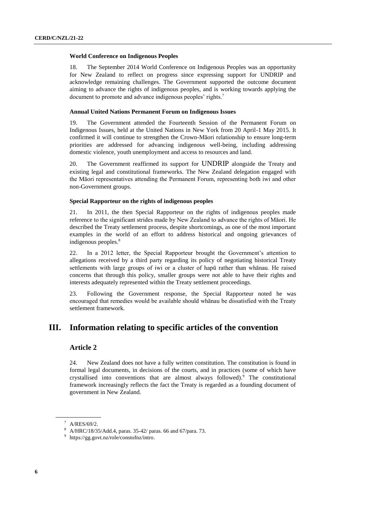# **World Conference on Indigenous Peoples**

18. The September 2014 World Conference on Indigenous Peoples was an opportunity for New Zealand to reflect on progress since expressing support for UNDRIP and acknowledge remaining challenges. The Government supported the outcome document aiming to advance the rights of indigenous peoples, and is working towards applying the document to promote and advance indigenous peoples' rights.<sup>7</sup>

# **Annual United Nations Permanent Forum on Indigenous Issues**

19. The Government attended the Fourteenth Session of the Permanent Forum on Indigenous Issues, held at the United Nations in New York from 20 April-1 May 2015. It confirmed it will continue to strengthen the Crown-Māori relationship to ensure long-term priorities are addressed for advancing indigenous well-being, including addressing domestic violence, youth unemployment and access to resources and land.

20. The Government reaffirmed its support for UNDRIP alongside the Treaty and existing legal and constitutional frameworks. The New Zealand delegation engaged with the Māori representatives attending the Permanent Forum, representing both iwi and other non-Government groups.

# **Special Rapporteur on the rights of indigenous peoples**

21. In 2011, the then Special Rapporteur on the rights of indigenous peoples made reference to the significant strides made by New Zealand to advance the rights of Māori. He described the Treaty settlement process, despite shortcomings, as one of the most important examples in the world of an effort to address historical and ongoing grievances of indigenous peoples.<sup>8</sup>

22. In a 2012 letter, the Special Rapporteur brought the Government's attention to allegations received by a third party regarding its policy of negotiating historical Treaty settlements with large groups of iwi or a cluster of hapū rather than whānau. He raised concerns that through this policy, smaller groups were not able to have their rights and interests adequately represented within the Treaty settlement proceedings.

23. Following the Government response, the Special Rapporteur noted he was encouraged that remedies would be available should whānau be dissatisfied with the Treaty settlement framework.

# **III. Information relating to specific articles of the convention**

# **Article 2**

24. New Zealand does not have a fully written constitution. The constitution is found in formal legal documents, in decisions of the courts, and in practices (some of which have crystallised into conventions that are almost always followed).<sup>9</sup> The constitutional framework increasingly reflects the fact the Treaty is regarded as a founding document of government in New Zealand.

<sup>7</sup> A/RES/69/2.

<sup>8</sup> A/HRC/18/35/Add.4, paras. 35-42/ paras. 66 and 67/para. 73.

<sup>9</sup> [https://gg.govt.nz/role/constofnz/intro.](https://gg.govt.nz/role/constofnz/intro)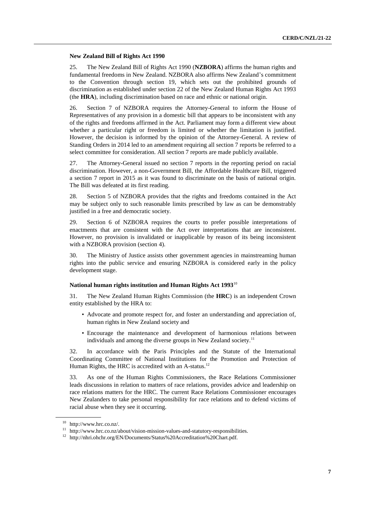# **New Zealand Bill of Rights Act 1990**

25. The New Zealand Bill of Rights Act 1990 (**NZBORA**) affirms the human rights and fundamental freedoms in New Zealand. NZBORA also affirms New Zealand's commitment to the Convention through section 19, which sets out the prohibited grounds of discrimination as established under section 22 of the New Zealand Human Rights Act 1993 (the **HRA**), including discrimination based on race and ethnic or national origin.

26. Section 7 of NZBORA requires the Attorney-General to inform the House of Representatives of any provision in a domestic bill that appears to be inconsistent with any of the rights and freedoms affirmed in the Act. Parliament may form a different view about whether a particular right or freedom is limited or whether the limitation is justified. However, the decision is informed by the opinion of the Attorney-General. A review of Standing Orders in 2014 led to an amendment requiring all section 7 reports be referred to a select committee for consideration. All section 7 reports are made publicly available.

27. The Attorney-General issued no section 7 reports in the reporting period on racial discrimination. However, a non-Government Bill, the Affordable Healthcare Bill, triggered a section 7 report in 2015 as it was found to discriminate on the basis of national origin. The Bill was defeated at its first reading.

28. Section 5 of NZBORA provides that the rights and freedoms contained in the Act may be subject only to such reasonable limits prescribed by law as can be demonstrably justified in a free and democratic society.

29. Section 6 of NZBORA requires the courts to prefer possible interpretations of enactments that are consistent with the Act over interpretations that are inconsistent. However, no provision is invalidated or inapplicable by reason of its being inconsistent with a NZBORA provision (section 4).

30. The Ministry of Justice assists other government agencies in mainstreaming human rights into the public service and ensuring NZBORA is considered early in the policy development stage.

# **National human rights institution and Human Rights Act 1993**<sup>10</sup>

31. The New Zealand Human Rights Commission (the **HRC**) is an independent Crown entity established by the HRA to:

- Advocate and promote respect for, and foster an understanding and appreciation of, human rights in New Zealand society and
- Encourage the maintenance and development of harmonious relations between individuals and among the diverse groups in New Zealand society.<sup>11</sup>

32. In accordance with the Paris Principles and the Statute of the International Coordinating Committee of National Institutions for the Promotion and Protection of Human Rights, the HRC is accredited with an A-status.<sup>12</sup>

33. As one of the Human Rights Commissioners, the Race Relations Commissioner leads discussions in relation to matters of race relations, provides advice and leadership on race relations matters for the HRC. The current Race Relations Commissioner encourages New Zealanders to take personal responsibility for race relations and to defend victims of racial abuse when they see it occurring.

<sup>10</sup> http://www.hrc.co.nz/.

 $11$  http://www.hrc.co.nz/about/vision-mission-values-and-statutory-responsibilities.

<sup>12</sup> http://nhri.ohchr.org/EN/Documents/Status%20Accreditation%20Chart.pdf.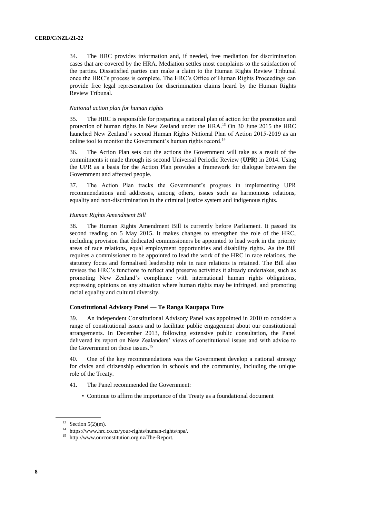34. The HRC provides information and, if needed, free mediation for discrimination cases that are covered by the HRA. Mediation settles most complaints to the satisfaction of the parties. Dissatisfied parties can make a claim to the Human Rights Review Tribunal once the HRC's process is complete. The HRC's Office of Human Rights Proceedings can provide free legal representation for discrimination claims heard by the Human Rights Review Tribunal.

# *National action plan for human rights*

35. The HRC is responsible for preparing a national plan of action for the promotion and protection of human rights in New Zealand under the HRA.<sup>13</sup> On 30 June 2015 the HRC launched New Zealand's second Human Rights National Plan of Action 2015-2019 as an online tool to monitor the Government's human rights record.<sup>14</sup>

36. The Action Plan sets out the actions the Government will take as a result of the commitments it made through its second Universal Periodic Review (**UPR**) in 2014. Using the UPR as a basis for the Action Plan provides a framework for dialogue between the Government and affected people.

37. The Action Plan tracks the Government's progress in implementing UPR recommendations and addresses, among others, issues such as harmonious relations, equality and non-discrimination in the criminal justice system and indigenous rights.

#### *Human Rights Amendment Bill*

38. The Human Rights Amendment Bill is currently before Parliament. It passed its second reading on 5 May 2015. It makes changes to strengthen the role of the HRC, including provision that dedicated commissioners be appointed to lead work in the priority areas of race relations, equal employment opportunities and disability rights. As the Bill requires a commissioner to be appointed to lead the work of the HRC in race relations, the statutory focus and formalised leadership role in race relations is retained. The Bill also revises the HRC's functions to reflect and preserve activities it already undertakes, such as promoting New Zealand's compliance with international human rights obligations, expressing opinions on any situation where human rights may be infringed, and promoting racial equality and cultural diversity.

# **Constitutional Advisory Panel — Te Ranga Kaupapa Ture**

39. An independent Constitutional Advisory Panel was appointed in 2010 to consider a range of constitutional issues and to facilitate public engagement about our constitutional arrangements. In December 2013, following extensive public consultation, the Panel delivered its report on New Zealanders' views of constitutional issues and with advice to the Government on those issues.<sup>15</sup>

40. One of the key recommendations was the Government develop a national strategy for civics and citizenship education in schools and the community, including the unique role of the Treaty.

- 41. The Panel recommended the Government:
	- Continue to affirm the importance of the Treaty as a foundational document

<sup>&</sup>lt;sup>13</sup> Section 5(2)(m).

<sup>14</sup> https://www.hrc.co.nz/your-rights/human-rights/npa/.

<sup>15</sup> http://www.ourconstitution.org.nz/The-Report.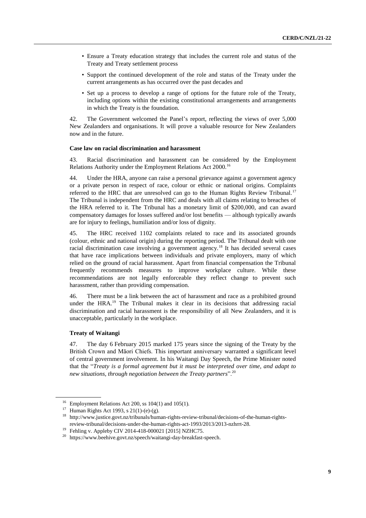- Ensure a Treaty education strategy that includes the current role and status of the Treaty and Treaty settlement process
- Support the continued development of the role and status of the Treaty under the current arrangements as has occurred over the past decades and
- Set up a process to develop a range of options for the future role of the Treaty, including options within the existing constitutional arrangements and arrangements in which the Treaty is the foundation.

42. The Government welcomed the Panel's report, reflecting the views of over 5,000 New Zealanders and organisations. It will prove a valuable resource for New Zealanders now and in the future.

# **Case law on racial discrimination and harassment**

43. Racial discrimination and harassment can be considered by the Employment Relations Authority under the Employment Relations Act 2000.<sup>16</sup>

44. Under the HRA, anyone can raise a personal grievance against a government agency or a private person in respect of race, colour or ethnic or national origins. Complaints referred to the HRC that are unresolved can go to the Human Rights Review Tribunal.<sup>17</sup> The Tribunal is independent from the HRC and deals with all claims relating to breaches of the HRA referred to it. The Tribunal has a monetary limit of \$200,000, and can award compensatory damages for losses suffered and/or lost benefits — although typically awards are for injury to feelings, humiliation and/or loss of dignity.

45. The HRC received 1102 complaints related to race and its associated grounds (colour, ethnic and national origin) during the reporting period. The Tribunal dealt with one racial discrimination case involving a government agency.<sup>18</sup> It has decided several cases that have race implications between individuals and private employers, many of which relied on the ground of racial harassment. Apart from financial compensation the Tribunal frequently recommends measures to improve workplace culture. While these recommendations are not legally enforceable they reflect change to prevent such harassment, rather than providing compensation.

46. There must be a link between the act of harassment and race as a prohibited ground under the HRA.<sup>19</sup> The Tribunal makes it clear in its decisions that addressing racial discrimination and racial harassment is the responsibility of all New Zealanders, and it is unacceptable, particularly in the workplace.

# **Treaty of Waitangi**

47. The day 6 February 2015 marked 175 years since the signing of the Treaty by the British Crown and Māori Chiefs. This important anniversary warranted a significant level of central government involvement. In his Waitangi Day Speech, the Prime Minister noted that the "*Treaty is a formal agreement but it must be interpreted over time, and adapt to new situations, through negotiation between the Treaty partners*".<sup>20</sup>

<sup>16</sup> Employment Relations Act 200, ss 104(1) and 105(1).

<sup>17</sup> Human Rights Act 1993, s 21(1)-(e)-(g).

<sup>18</sup> [http://www.justice.govt.nz/tribunals/human-rights-review-tribunal/decisions-of-the-human-rights](http://www.justice.govt.nz/tribunals/human-rights-review-tribunal/decisions-of-the-human-rights-review-tribunal/decisions-under-the-human-rights-act-1993/2013/2013-nzhrrt-28)[review-tribunal/decisions-under-the-human-rights-act-1993/2013/2013-nzhrrt-28.](http://www.justice.govt.nz/tribunals/human-rights-review-tribunal/decisions-of-the-human-rights-review-tribunal/decisions-under-the-human-rights-act-1993/2013/2013-nzhrrt-28)

<sup>19</sup> Fehling v. Appleby CIV 2014-418-000021 [2015] NZHC75.

 $^{20}\,$ https://www.beehive.govt.nz/speech/waitangi-day-breakfast-speech.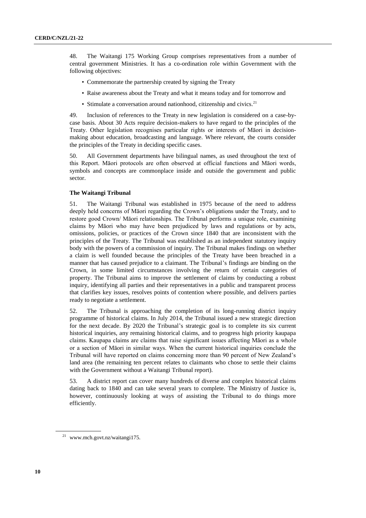48. The Waitangi 175 Working Group comprises representatives from a number of central government Ministries. It has a co-ordination role within Government with the following objectives:

- Commemorate the partnership created by signing the Treaty
- Raise awareness about the Treaty and what it means today and for tomorrow and
- Stimulate a conversation around nationhood, citizenship and civics.<sup>21</sup>

49. Inclusion of references to the Treaty in new legislation is considered on a case-bycase basis. About 30 Acts require decision-makers to have regard to the principles of the Treaty. Other legislation recognises particular rights or interests of Māori in decisionmaking about education, broadcasting and language. Where relevant, the courts consider the principles of the Treaty in deciding specific cases.

50. All Government departments have bilingual names, as used throughout the text of this Report. Māori protocols are often observed at official functions and Māori words, symbols and concepts are commonplace inside and outside the government and public sector.

# **The Waitangi Tribunal**

51. The Waitangi Tribunal was established in 1975 because of the need to address deeply held concerns of Māori regarding the Crown's obligations under the Treaty, and to restore good Crown/ Māori relationships. The Tribunal performs a unique role, examining claims by Māori who may have been prejudiced by laws and regulations or by acts, omissions, policies, or practices of the Crown since 1840 that are inconsistent with the principles of the Treaty. The Tribunal was established as an independent statutory inquiry body with the powers of a commission of inquiry. The Tribunal makes findings on whether a claim is well founded because the principles of the Treaty have been breached in a manner that has caused prejudice to a claimant. The Tribunal's findings are binding on the Crown, in some limited circumstances involving the return of certain categories of property. The Tribunal aims to improve the settlement of claims by conducting a robust inquiry, identifying all parties and their representatives in a public and transparent process that clarifies key issues, resolves points of contention where possible, and delivers parties ready to negotiate a settlement.

52. The Tribunal is approaching the completion of its long-running district inquiry programme of historical claims. In July 2014, the Tribunal issued a new strategic direction for the next decade. By 2020 the Tribunal's strategic goal is to complete its six current historical inquiries, any remaining historical claims, and to progress high priority kaupapa claims. Kaupapa claims are claims that raise significant issues affecting Māori as a whole or a section of Māori in similar ways. When the current historical inquiries conclude the Tribunal will have reported on claims concerning more than 90 percent of New Zealand's land area (the remaining ten percent relates to claimants who chose to settle their claims with the Government without a Waitangi Tribunal report).

53. A district report can cover many hundreds of diverse and complex historical claims dating back to 1840 and can take several years to complete. The Ministry of Justice is, however, continuously looking at ways of assisting the Tribunal to do things more efficiently.

<sup>21</sup> www.mch.govt.nz/waitangi175.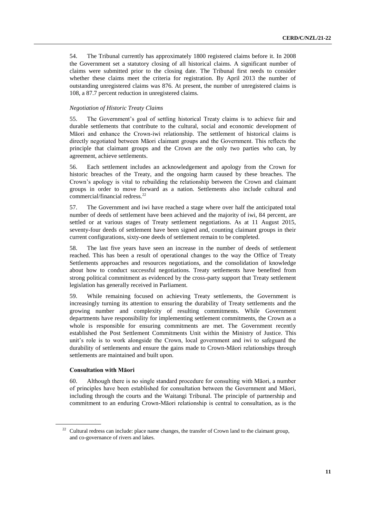54. The Tribunal currently has approximately 1800 registered claims before it. In 2008 the Government set a statutory closing of all historical claims. A significant number of claims were submitted prior to the closing date. The Tribunal first needs to consider whether these claims meet the criteria for registration. By April 2013 the number of outstanding unregistered claims was 876. At present, the number of unregistered claims is 108, a 87.7 percent reduction in unregistered claims.

# *Negotiation of Historic Treaty Claims*

55. The Government's goal of settling historical Treaty claims is to achieve fair and durable settlements that contribute to the cultural, social and economic development of Māori and enhance the Crown-iwi relationship. The settlement of historical claims is directly negotiated between Māori claimant groups and the Government. This reflects the principle that claimant groups and the Crown are the only two parties who can, by agreement, achieve settlements.

56. Each settlement includes an acknowledgement and apology from the Crown for historic breaches of the Treaty, and the ongoing harm caused by these breaches. The Crown's apology is vital to rebuilding the relationship between the Crown and claimant groups in order to move forward as a nation. Settlements also include cultural and commercial/financial redress.<sup>22</sup>

57. The Government and iwi have reached a stage where over half the anticipated total number of deeds of settlement have been achieved and the majority of iwi, 84 percent, are settled or at various stages of Treaty settlement negotiations. As at 11 August 2015, seventy-four deeds of settlement have been signed and, counting claimant groups in their current configurations, sixty-one deeds of settlement remain to be completed.

58. The last five years have seen an increase in the number of deeds of settlement reached. This has been a result of operational changes to the way the Office of Treaty Settlements approaches and resources negotiations, and the consolidation of knowledge about how to conduct successful negotiations. Treaty settlements have benefited from strong political commitment as evidenced by the cross-party support that Treaty settlement legislation has generally received in Parliament.

59. While remaining focused on achieving Treaty settlements, the Government is increasingly turning its attention to ensuring the durability of Treaty settlements and the growing number and complexity of resulting commitments. While Government departments have responsibility for implementing settlement commitments, the Crown as a whole is responsible for ensuring commitments are met. The Government recently established the Post Settlement Commitments Unit within the Ministry of Justice. This unit's role is to work alongside the Crown, local government and iwi to safeguard the durability of settlements and ensure the gains made to Crown-Māori relationships through settlements are maintained and built upon.

# **Consultation with Māori**

60. Although there is no single standard procedure for consulting with Māori, a number of principles have been established for consultation between the Government and Māori, including through the courts and the Waitangi Tribunal. The principle of partnership and commitment to an enduring Crown-Māori relationship is central to consultation, as is the

<sup>&</sup>lt;sup>22</sup> Cultural redress can include: place name changes, the transfer of Crown land to the claimant group, and co-governance of rivers and lakes.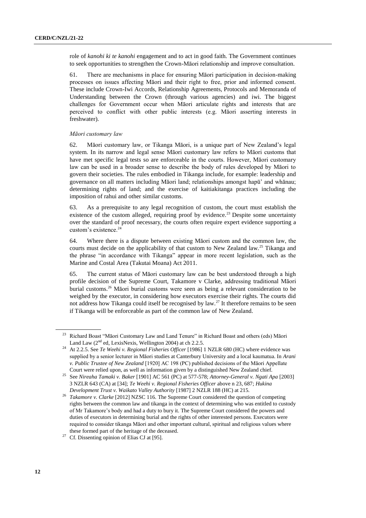role of *kanohi ki te kanohi* engagement and to act in good faith. The Government continues to seek opportunities to strengthen the Crown-Māori relationship and improve consultation.

61. There are mechanisms in place for ensuring Māori participation in decision-making processes on issues affecting Māori and their right to free, prior and informed consent. These include Crown-Iwi Accords, Relationship Agreements, Protocols and Memoranda of Understanding between the Crown (through various agencies) and iwi. The biggest challenges for Government occur when Māori articulate rights and interests that are perceived to conflict with other public interests (e.g. Māori asserting interests in freshwater).

# *Māori customary law*

62. Māori customary law, or Tikanga Māori, is a unique part of New Zealand's legal system. In its narrow and legal sense Māori customary law refers to Māori customs that have met specific legal tests so are enforceable in the courts. However, Māori customary law can be used in a broader sense to describe the body of rules developed by Māori to govern their societies. The rules embodied in Tikanga include, for example: leadership and governance on all matters including Māori land; relationships amongst hapū' and whānau; determining rights of land; and the exercise of kaitiakitanga practices including the imposition of rahui and other similar customs.

63. As a prerequisite to any legal recognition of custom, the court must establish the existence of the custom alleged, requiring proof by evidence.<sup>23</sup> Despite some uncertainty over the standard of proof necessary, the courts often require expert evidence supporting a custom's existence.<sup>24</sup>

64. Where there is a dispute between existing Māori custom and the common law, the courts must decide on the applicability of that custom to New Zealand law.<sup>25</sup> Tikanga and the phrase "in accordance with Tikanga" appear in more recent legislation, such as the Marine and Costal Area (Takutai Moana) Act 2011.

65. The current status of Māori customary law can be best understood through a high profile decision of the Supreme Court, Takamore v Clarke, addressing traditional Māori burial customs.<sup>26</sup> Māori burial customs were seen as being a relevant consideration to be weighed by the executor, in considering how executors exercise their rights. The courts did not address how Tikanga could itself be recognised by law.<sup>27</sup> It therefore remains to be seen if Tikanga will be enforceable as part of the common law of New Zealand.

<sup>&</sup>lt;sup>23</sup> Richard Boast "Māori Customary Law and Land Tenure" in Richard Boast and others (eds) Māori Land Law  $(2^{nd}$  ed, LexisNexis, Wellington 2004) at ch 2.2.5.

<sup>24</sup> At 2.2.5. See *Te Weehi v. Regional Fisheries Officer* [1986] 1 NZLR 680 (HC) where evidence was supplied by a senior lecturer in Māori studies at Canterbury University and a local kaumatua. In *Arani v. Public Trustee of New Zealand* [1920] AC 198 (PC) published decisions of the Māori Appellate Court were relied upon, as well as information given by a distinguished New Zealand chief.

<sup>25</sup> See *Nireaha Tamaki v. Baker* [1901] AC 561 (PC) at 577-578; *Attorney-General v. Ngati Apa* [2003] 3 NZLR 643 (CA) at [34]; *Te Weehi v. Regional Fisheries Officer* above n 23, 687; *Hukina Development Trust v. Waikato Valley Authority* [1987] 2 NZLR 188 (HC) at 215.

<sup>26</sup> *Takamore v. Clarke* [2012] NZSC 116. The Supreme Court considered the question of competing rights between the common law and tikanga in the context of determining who was entitled to custody of Mr Takamore's body and had a duty to bury it. The Supreme Court considered the powers and duties of executors in determining burial and the rights of other interested persons. Executors were required to consider tikanga Māori and other important cultural, spiritual and religious values where these formed part of the heritage of the deceased.

<sup>&</sup>lt;sup>27</sup> Cf. Dissenting opinion of Elias CJ at [95].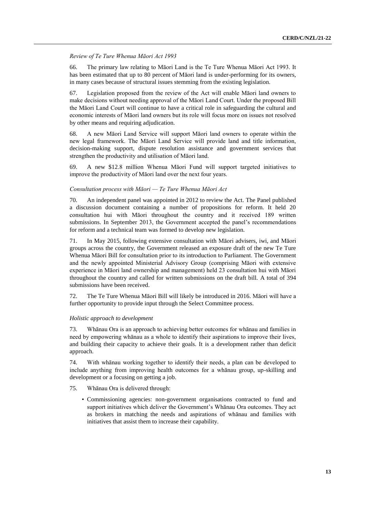*Review of Te Ture Whenua Māori Act 1993*

66. The primary law relating to Māori Land is the Te Ture Whenua Māori Act 1993. It has been estimated that up to 80 percent of Māori land is under-performing for its owners, in many cases because of structural issues stemming from the existing legislation.

67. Legislation proposed from the review of the Act will enable Māori land owners to make decisions without needing approval of the Māori Land Court. Under the proposed Bill the Māori Land Court will continue to have a critical role in safeguarding the cultural and economic interests of Māori land owners but its role will focus more on issues not resolved by other means and requiring adjudication.

68. A new Māori Land Service will support Māori land owners to operate within the new legal framework. The Māori Land Service will provide land and title information, decision-making support, dispute resolution assistance and government services that strengthen the productivity and utilisation of Māori land.

69. A new \$12.8 million Whenua Māori Fund will support targeted initiatives to improve the productivity of Māori land over the next four years.

# *Consultation process with Māori — Te Ture Whenua Māori Act*

70. An independent panel was appointed in 2012 to review the Act. The Panel published a discussion document containing a number of propositions for reform. It held 20 consultation hui with Māori throughout the country and it received 189 written submissions. In September 2013, the Government accepted the panel's recommendations for reform and a technical team was formed to develop new legislation.

71. In May 2015, following extensive consultation with Māori advisers, iwi, and Māori groups across the country, the Government released an exposure draft of the new Te Ture Whenua Māori Bill for consultation prior to its introduction to Parliament. The Government and the newly appointed Ministerial Advisory Group (comprising Māori with extensive experience in Māori land ownership and management) held 23 consultation hui with Māori throughout the country and called for written submissions on the draft bill. A total of 394 submissions have been received.

72. The Te Ture Whenua Māori Bill will likely be introduced in 2016. Māori will have a further opportunity to provide input through the Select Committee process.

# *Holistic approach to development*

73. Whānau Ora is an approach to achieving better outcomes for whānau and families in need by empowering whānau as a whole to identify their aspirations to improve their lives, and building their capacity to achieve their goals. It is a development rather than deficit approach.

74. With whānau working together to identify their needs, a plan can be developed to include anything from improving health outcomes for a whānau group, up-skilling and development or a focusing on getting a job.

- 75. Whānau Ora is delivered through:
	- Commissioning agencies: non-government organisations contracted to fund and support initiatives which deliver the Government's Whānau Ora outcomes. They act as brokers in matching the needs and aspirations of whānau and families with initiatives that assist them to increase their capability.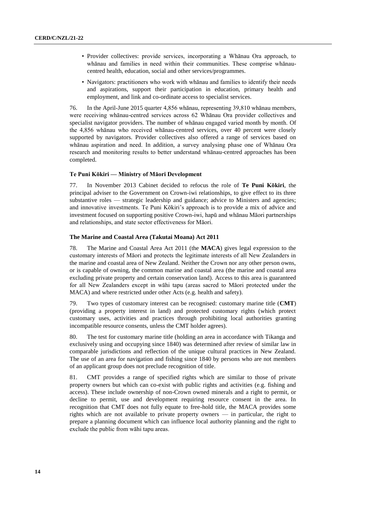- Provider collectives: provide services, incorporating a Whānau Ora approach, to whānau and families in need within their communities. These comprise whānaucentred health, education, social and other services/programmes.
- Navigators: practitioners who work with whānau and families to identify their needs and aspirations, support their participation in education, primary health and employment, and link and co-ordinate access to specialist services.

76. In the April-June 2015 quarter 4,856 whānau, representing 39,810 whānau members, were receiving whānau-centred services across 62 Whānau Ora provider collectives and specialist navigator providers. The number of whānau engaged varied month by month. Of the 4,856 whānau who received whānau-centred services, over 40 percent were closely supported by navigators. Provider collectives also offered a range of services based on whānau aspiration and need. In addition, a survey analysing phase one of Whānau Ora research and monitoring results to better understand whānau-centred approaches has been completed.

# **Te Puni Kōkiri — Ministry of Māori Development**

77. In November 2013 Cabinet decided to refocus the role of **Te Puni Kōkiri**, the principal adviser to the Government on Crown-iwi relationships, to give effect to its three substantive roles — strategic leadership and guidance; advice to Ministers and agencies; and innovative investments. Te Puni Kōkiri's approach is to provide a mix of advice and investment focused on supporting positive Crown-iwi, hapū and whānau Māori partnerships and relationships, and state sector effectiveness for Māori.

# **The Marine and Coastal Area (Takutai Moana) Act 2011**

78. The Marine and Coastal Area Act 2011 (the **MACA**) gives legal expression to the customary interests of Māori and protects the legitimate interests of all New Zealanders in the marine and coastal area of New Zealand. Neither the Crown nor any other person owns, or is capable of owning, the common marine and coastal area (the marine and coastal area excluding private property and certain conservation land). Access to this area is guaranteed for all New Zealanders except in wāhi tapu (areas sacred to Māori protected under the MACA) and where restricted under other Acts (e.g. health and safety).

79. Two types of customary interest can be recognised: customary marine title (**CMT**) (providing a property interest in land) and protected customary rights (which protect customary uses, activities and practices through prohibiting local authorities granting incompatible resource consents, unless the CMT holder agrees).

80. The test for customary marine title (holding an area in accordance with Tikanga and exclusively using and occupying since 1840) was determined after review of similar law in comparable jurisdictions and reflection of the unique cultural practices in New Zealand. The use of an area for navigation and fishing since 1840 by persons who are not members of an applicant group does not preclude recognition of title.

81. CMT provides a range of specified rights which are similar to those of private property owners but which can co-exist with public rights and activities (e.g. fishing and access). These include ownership of non-Crown owned minerals and a right to permit, or decline to permit, use and development requiring resource consent in the area. In recognition that CMT does not fully equate to free-hold title, the MACA provides some rights which are not available to private property owners — in particular, the right to prepare a planning document which can influence local authority planning and the right to exclude the public from wāhi tapu areas.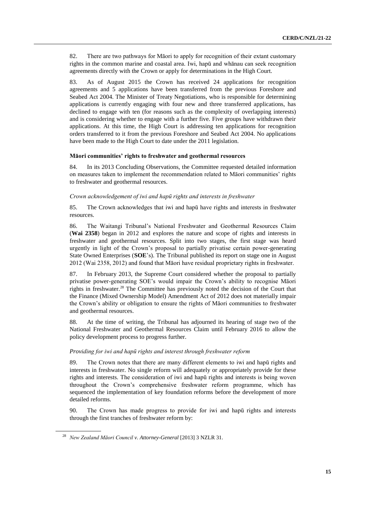82. There are two pathways for Māori to apply for recognition of their extant customary rights in the common marine and coastal area. Iwi, hapū and whānau can seek recognition agreements directly with the Crown or apply for determinations in the High Court.

83. As of August 2015 the Crown has received 24 applications for recognition agreements and 5 applications have been transferred from the previous Foreshore and Seabed Act 2004. The Minister of Treaty Negotiations, who is responsible for determining applications is currently engaging with four new and three transferred applications, has declined to engage with ten (for reasons such as the complexity of overlapping interests) and is considering whether to engage with a further five. Five groups have withdrawn their applications. At this time, the High Court is addressing ten applications for recognition orders transferred to it from the previous Foreshore and Seabed Act 2004. No applications have been made to the High Court to date under the 2011 legislation.

# **Māori communities' rights to freshwater and geothermal resources**

84. In its 2013 Concluding Observations, the Committee requested detailed information on measures taken to implement the recommendation related to Māori communities' rights to freshwater and geothermal resources.

# *Crown acknowledgement of iwi and hapū rights and interests in freshwater*

85. The Crown acknowledges that iwi and hapū have rights and interests in freshwater resources.

86. The Waitangi Tribunal's National Freshwater and Geothermal Resources Claim (**Wai 2358**) began in 2012 and explores the nature and scope of rights and interests in freshwater and geothermal resources. Split into two stages, the first stage was heard urgently in light of the Crown's proposal to partially privatise certain power-generating State Owned Enterprises (**SOE**'s). The Tribunal published its report on stage one in August 2012 (Wai 2358, 2012) and found that Māori have residual proprietary rights in freshwater.

87. In February 2013, the Supreme Court considered whether the proposal to partially privatise power-generating SOE's would impair the Crown's ability to recognise Māori rights in freshwater. $^{28}$  The Committee has previously noted the decision of the Court that the Finance (Mixed Ownership Model) Amendment Act of 2012 does not materially impair the Crown's ability or obligation to ensure the rights of Māori communities to freshwater and geothermal resources.

88. At the time of writing, the Tribunal has adjourned its hearing of stage two of the National Freshwater and Geothermal Resources Claim until February 2016 to allow the policy development process to progress further.

#### *Providing for iwi and hapū rights and interest through freshwater reform*

89. The Crown notes that there are many different elements to iwi and hapū rights and interests in freshwater. No single reform will adequately or appropriately provide for these rights and interests. The consideration of iwi and hapū rights and interests is being woven throughout the Crown's comprehensive freshwater reform programme, which has sequenced the implementation of key foundation reforms before the development of more detailed reforms.

90. The Crown has made progress to provide for iwi and hapū rights and interests through the first tranches of freshwater reform by:

<sup>28</sup> *New Zealand Māori Council v. Attorney-General* [2013] 3 NZLR 31.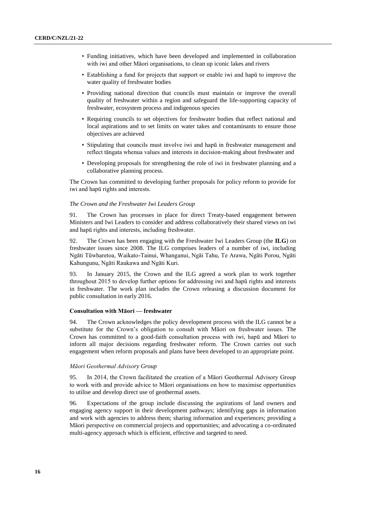- Funding initiatives, which have been developed and implemented in collaboration with iwi and other Māori organisations, to clean up iconic lakes and rivers
- Establishing a fund for projects that support or enable iwi and hapū to improve the water quality of freshwater bodies
- Providing national direction that councils must maintain or improve the overall quality of freshwater within a region and safeguard the life-supporting capacity of freshwater, ecosystem process and indigenous species
- Requiring councils to set objectives for freshwater bodies that reflect national and local aspirations and to set limits on water takes and contaminants to ensure those objectives are achieved
- Stipulating that councils must involve iwi and hapū in freshwater management and reflect tāngata whenua values and interests in decision-making about freshwater and
- Developing proposals for strengthening the role of iwi in freshwater planning and a collaborative planning process.

The Crown has committed to developing further proposals for policy reform to provide for iwi and hapū rights and interests.

# *The Crown and the Freshwater Iwi Leaders Group*

91. The Crown has processes in place for direct Treaty-based engagement between Ministers and Iwi Leaders to consider and address collaboratively their shared views on iwi and hapū rights and interests, including freshwater.

92. The Crown has been engaging with the Freshwater Iwi Leaders Group (the **ILG**) on freshwater issues since 2008. The ILG comprises leaders of a number of iwi, including Ngāti Tūwharetoa, Waikato-Tainui, Whanganui, Ngāi Tahu, Te Arawa, Ngāti Porou, Ngāti Kahungunu, Ngāti Raukawa and Ngāti Kuri.

93. In January 2015, the Crown and the ILG agreed a work plan to work together throughout 2015 to develop further options for addressing iwi and hapū rights and interests in freshwater. The work plan includes the Crown releasing a discussion document for public consultation in early 2016.

## **Consultation with Māori — freshwater**

94. The Crown acknowledges the policy development process with the ILG cannot be a substitute for the Crown's obligation to consult with Māori on freshwater issues. The Crown has committed to a good-faith consultation process with iwi, hapū and Māori to inform all major decisions regarding freshwater reform. The Crown carries out such engagement when reform proposals and plans have been developed to an appropriate point.

# *Māori Geothermal Advisory Group*

95. In 2014, the Crown facilitated the creation of a Māori Geothermal Advisory Group to work with and provide advice to Māori organisations on how to maximise opportunities to utilise and develop direct use of geothermal assets.

96. Expectations of the group include discussing the aspirations of land owners and engaging agency support in their development pathways; identifying gaps in information and work with agencies to address them; sharing information and experiences; providing a Māori perspective on commercial projects and opportunities; and advocating a co-ordinated multi-agency approach which is efficient, effective and targeted to need.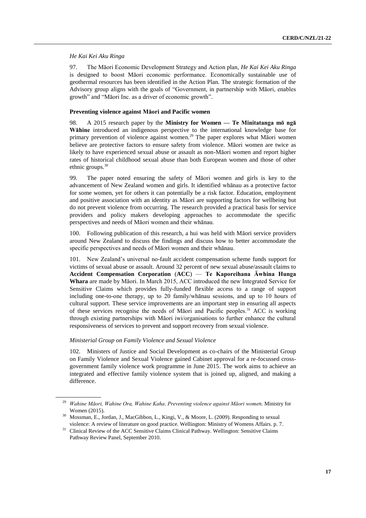# *He Kai Kei Aku Ringa*

97. The Māori Economic Development Strategy and Action plan, *He Kai Kei Aku Ringa* is designed to boost Māori economic performance. Economically sustainable use of geothermal resources has been identified in the Action Plan. The strategic formation of the Advisory group aligns with the goals of "Government, in partnership with Māori, enables growth" and "Māori Inc. as a driver of economic growth".

# **Preventing violence against Māori and Pacific women**

98. A 2015 research paper by the **Ministry for Women — Te Minitatanga mō ngā Wāhine** introduced an indigenous perspective to the international knowledge base for primary prevention of violence against women.<sup>29</sup> The paper explores what Māori women believe are protective factors to ensure safety from violence. Māori women are twice as likely to have experienced sexual abuse or assault as non-Māori women and report higher rates of historical childhood sexual abuse than both European women and those of other ethnic groups. $30$ 

99. The paper noted ensuring the safety of Māori women and girls is key to the advancement of New Zealand women and girls. It identified whānau as a protective factor for some women, yet for others it can potentially be a risk factor. Education, employment and positive association with an identity as Māori are supporting factors for wellbeing but do not prevent violence from occurring. The research provided a practical basis for service providers and policy makers developing approaches to accommodate the specific perspectives and needs of Māori women and their whānau.

100. Following publication of this research, a hui was held with Māori service providers around New Zealand to discuss the findings and discuss how to better accommodate the specific perspectives and needs of Māori women and their whānau.

101. New Zealand's universal no-fault accident compensation scheme funds support for victims of sexual abuse or assault. Around 32 percent of new sexual abuse/assault claims to **Accident Compensation Corporation** (**ACC**) — **Te Kaporeihana Āwhina Hunga Whara** are made by Māori. In March 2015, ACC introduced the new Integrated Service for Sensitive Claims which provides fully-funded flexible access to a range of support including one-to-one therapy, up to 20 family/whānau sessions, and up to 10 hours of cultural support. These service improvements are an important step in ensuring all aspects of these services recognise the needs of Māori and Pacific peoples.<sup>31</sup> ACC is working through existing partnerships with Māori iwi/organisations to further enhance the cultural responsiveness of services to prevent and support recovery from sexual violence.

# *Ministerial Group on Family Violence and Sexual Violence*

102. Ministers of Justice and Social Development as co-chairs of the Ministerial Group on Family Violence and Sexual Violence gained Cabinet approval for a re-focussed crossgovernment family violence work programme in June 2015. The work aims to achieve an integrated and effective family violence system that is joined up, aligned, and making a difference.

<sup>29</sup> *Wahine Māori, Wahine Ora, Wahine Kaha*. *Preventing violence against Māori women*. Ministry for Women (2015).

<sup>30</sup> Mossman, E., Jordan, J., MacGibbon, L., Kingi, V., & Moore, L. (2009). Responding to sexual violence: A review of literature on good practice. Wellington: Ministry of Womens Affairs. p. 7.

<sup>&</sup>lt;sup>31</sup> Clinical Review of the ACC Sensitive Claims Clinical Pathway. Wellington: Sensitive Claims Pathway Review Panel, September 2010.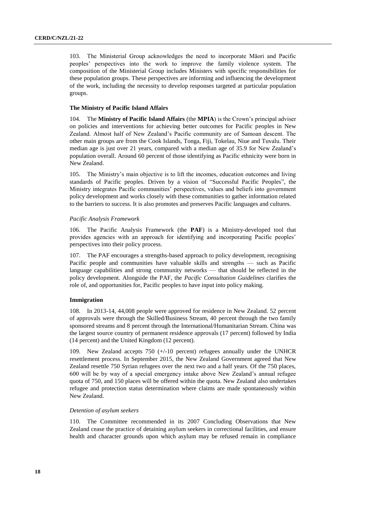103. The Ministerial Group acknowledges the need to incorporate Māori and Pacific peoples' perspectives into the work to improve the family violence system. The composition of the Ministerial Group includes Ministers with specific responsibilities for these population groups. These perspectives are informing and influencing the development of the work, including the necessity to develop responses targeted at particular population groups.

# **The Ministry of Pacific Island Affairs**

104. The **Ministry of Pacific Island Affairs** (the **MPIA**) is the Crown's principal adviser on policies and interventions for achieving better outcomes for Pacific peoples in New Zealand. Almost half of New Zealand's Pacific community are of Samoan descent. The other main groups are from the Cook Islands, Tonga, Fiji, Tokelau, Niue and Tuvalu. Their median age is just over 21 years, compared with a median age of 35.9 for New Zealand's population overall. Around 60 percent of those identifying as Pacific ethnicity were born in New Zealand.

105. The Ministry's main objective is to lift the incomes, education outcomes and living standards of Pacific peoples. Driven by a vision of "Successful Pacific Peoples", the Ministry integrates Pacific communities' perspectives, values and beliefs into government policy development and works closely with these communities to gather information related to the barriers to success. It is also promotes and preserves Pacific languages and cultures.

## *Pacific Analysis Framework*

106. The Pacific Analysis Framework (the **PAF**) is a Ministry-developed tool that provides agencies with an approach for identifying and incorporating Pacific peoples' perspectives into their policy process.

107. The PAF encourages a strengths-based approach to policy development, recognising Pacific people and communities have valuable skills and strengths — such as Pacific language capabilities and strong community networks — that should be reflected in the policy development. Alongside the PAF, the *Pacific Consultation Guidelines* clarifies the role of, and opportunities for, Pacific peoples to have input into policy making.

#### **Immigration**

108. In 2013-14, 44,008 people were approved for residence in New Zealand. 52 percent of approvals were through the Skilled/Business Stream, 40 percent through the two family sponsored streams and 8 percent through the International/Humanitarian Stream. China was the largest source country of permanent residence approvals (17 percent) followed by India (14 percent) and the United Kingdom (12 percent).

109. New Zealand accepts 750 (+/-10 percent) refugees annually under the UNHCR resettlement process. In September 2015, the New Zealand Government agreed that New Zealand resettle 750 Syrian refugees over the next two and a half years. Of the 750 places, 600 will be by way of a special emergency intake above New Zealand's annual refugee quota of 750, and 150 places will be offered within the quota. New Zealand also undertakes refugee and protection status determination where claims are made spontaneously within New Zealand.

# *Detention of asylum seekers*

110. The Committee recommended in its 2007 Concluding Observations that New Zealand cease the practice of detaining asylum seekers in correctional facilities, and ensure health and character grounds upon which asylum may be refused remain in compliance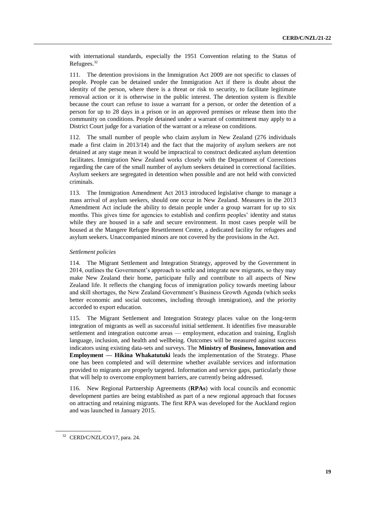with international standards, especially the 1951 Convention relating to the Status of Refugees.<sup>32</sup>

111. The detention provisions in the Immigration Act 2009 are not specific to classes of people. People can be detained under the Immigration Act if there is doubt about the identity of the person, where there is a threat or risk to security, to facilitate legitimate removal action or it is otherwise in the public interest. The detention system is flexible because the court can refuse to issue a warrant for a person, or order the detention of a person for up to 28 days in a prison or in an approved premises or release them into the community on conditions. People detained under a warrant of commitment may apply to a District Court judge for a variation of the warrant or a release on conditions.

112. The small number of people who claim asylum in New Zealand (276 individuals made a first claim in 2013/14) and the fact that the majority of asylum seekers are not detained at any stage mean it would be impractical to construct dedicated asylum detention facilitates. Immigration New Zealand works closely with the Department of Corrections regarding the care of the small number of asylum seekers detained in correctional facilities. Asylum seekers are segregated in detention when possible and are not held with convicted criminals.

113. The Immigration Amendment Act 2013 introduced legislative change to manage a mass arrival of asylum seekers, should one occur in New Zealand. Measures in the 2013 Amendment Act include the ability to detain people under a group warrant for up to six months. This gives time for agencies to establish and confirm peoples' identity and status while they are housed in a safe and secure environment. In most cases people will be housed at the Mangere Refugee Resettlement Centre, a dedicated facility for refugees and asylum seekers. Unaccompanied minors are not covered by the provisions in the Act.

# *Settlement policies*

114. The Migrant Settlement and Integration Strategy, approved by the Government in 2014, outlines the Government's approach to settle and integrate new migrants, so they may make New Zealand their home, participate fully and contribute to all aspects of New Zealand life. It reflects the changing focus of immigration policy towards meeting labour and skill shortages, the New Zealand Government's Business Growth Agenda (which seeks better economic and social outcomes, including through immigration), and the priority accorded to export education.

115. The Migrant Settlement and Integration Strategy places value on the long-term integration of migrants as well as successful initial settlement. It identifies five measurable settlement and integration outcome areas — employment, education and training, English language, inclusion, and health and wellbeing. Outcomes will be measured against success indicators using existing data-sets and surveys. The **Ministry of Business, Innovation and Employment — Hikina Whakatutuki** leads the implementation of the Strategy. Phase one has been completed and will determine whether available services and information provided to migrants are properly targeted. Information and service gaps, particularly those that will help to overcome employment barriers, are currently being addressed.

116. New Regional Partnership Agreements (**RPAs**) with local councils and economic development parties are being established as part of a new regional approach that focuses on attracting and retaining migrants. The first RPA was developed for the Auckland region and was launched in January 2015.

<sup>32</sup> CERD/C/NZL/CO/17, para. 24.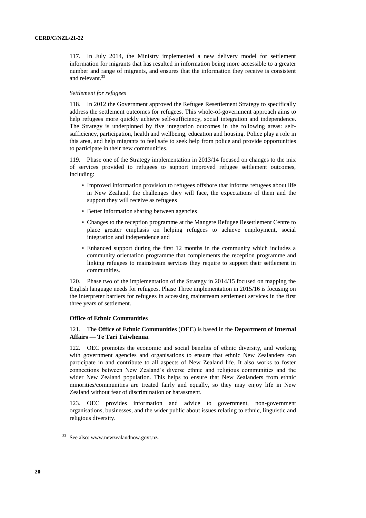117. In July 2014, the Ministry implemented a new delivery model for settlement information for migrants that has resulted in information being more accessible to a greater number and range of migrants, and ensures that the information they receive is consistent and relevant.<sup>33</sup>

# *Settlement for refugees*

118. In 2012 the Government approved the Refugee Resettlement Strategy to specifically address the settlement outcomes for refugees. This whole-of-government approach aims to help refugees more quickly achieve self-sufficiency, social integration and independence. The Strategy is underpinned by five integration outcomes in the following areas: selfsufficiency, participation, health and wellbeing, education and housing. Police play a role in this area, and help migrants to feel safe to seek help from police and provide opportunities to participate in their new communities.

119. Phase one of the Strategy implementation in 2013/14 focused on changes to the mix of services provided to refugees to support improved refugee settlement outcomes, including:

- Improved information provision to refugees offshore that informs refugees about life in New Zealand, the challenges they will face, the expectations of them and the support they will receive as refugees
- Better information sharing between agencies
- Changes to the reception programme at the Mangere Refugee Resettlement Centre to place greater emphasis on helping refugees to achieve employment, social integration and independence and
- Enhanced support during the first 12 months in the community which includes a community orientation programme that complements the reception programme and linking refugees to mainstream services they require to support their settlement in communities.

120. Phase two of the implementation of the Strategy in 2014/15 focused on mapping the English language needs for refugees. Phase Three implementation in 2015/16 is focusing on the interpreter barriers for refugees in accessing mainstream settlement services in the first three years of settlement.

#### **Office of Ethnic Communities**

# 121. The **Office of Ethnic Communities** (**OEC**) is based in the **Department of Internal Affairs — Te Tari Taiwhenua**.

122. OEC promotes the economic and social benefits of ethnic diversity, and working with government agencies and organisations to ensure that ethnic New Zealanders can participate in and contribute to all aspects of New Zealand life. It also works to foster connections between New Zealand's diverse ethnic and religious communities and the wider New Zealand population. This helps to ensure that New Zealanders from ethnic minorities/communities are treated fairly and equally, so they may enjoy life in New Zealand without fear of discrimination or harassment.

123. OEC provides information and advice to government, non-government organisations, businesses, and the wider public about issues relating to ethnic, linguistic and religious diversity.

<sup>&</sup>lt;sup>33</sup> See also: www.newzealandnow.govt.nz.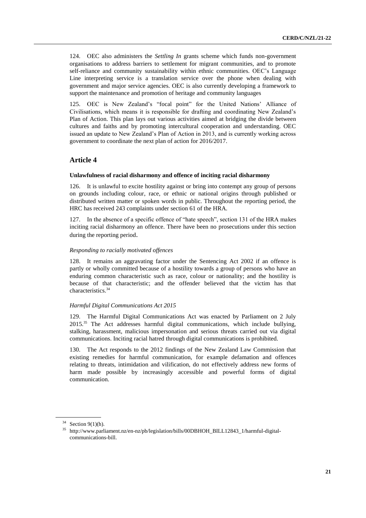124. OEC also administers the *Settling In* grants scheme which funds non-government organisations to address barriers to settlement for migrant communities, and to promote self-reliance and community sustainability within ethnic communities. OEC's Language Line interpreting service is a translation service over the phone when dealing with government and major service agencies. OEC is also currently developing a framework to support the maintenance and promotion of heritage and community languages

125. OEC is New Zealand's "focal point" for the United Nations' Alliance of Civilisations, which means it is responsible for drafting and coordinating New Zealand's Plan of Action. This plan lays out various activities aimed at bridging the divide between cultures and faiths and by promoting intercultural cooperation and understanding. OEC issued an update to New Zealand's Plan of Action in 2013, and is currently working across government to coordinate the next plan of action for 2016/2017.

# **Article 4**

# **Unlawfulness of racial disharmony and offence of inciting racial disharmony**

126. It is unlawful to excite hostility against or bring into contempt any group of persons on grounds including colour, race, or ethnic or national origins through published or distributed written matter or spoken words in public. Throughout the reporting period, the HRC has received 243 complaints under section 61 of the HRA.

127. In the absence of a specific offence of "hate speech", section 131 of the HRA makes inciting racial disharmony an offence. There have been no prosecutions under this section during the reporting period.

# *Responding to racially motivated offences*

128. It remains an aggravating factor under the Sentencing Act 2002 if an offence is partly or wholly committed because of a hostility towards a group of persons who have an enduring common characteristic such as race, colour or nationality; and the hostility is because of that characteristic; and the offender believed that the victim has that characteristics.<sup>34</sup>

# *Harmful Digital Communications Act 2015*

129. The Harmful Digital Communications Act was enacted by Parliament on 2 July 2015.<sup>35</sup> The Act addresses harmful digital communications, which include bullying, stalking, harassment, malicious impersonation and serious threats carried out via digital communications. Inciting racial hatred through digital communications is prohibited.

130. The Act responds to the 2012 findings of the New Zealand Law Commission that existing remedies for harmful communication, for example defamation and offences relating to threats, intimidation and vilification, do not effectively address new forms of harm made possible by increasingly accessible and powerful forms of digital communication.

 $34$  Section 9(1)(h).

<sup>35</sup> http://www.parliament.nz/en-nz/pb/legislation/bills/00DBHOH\_BILL12843\_1/harmful-digitalcommunications-bill.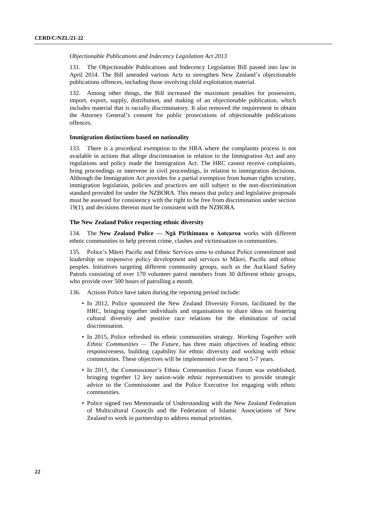#### *Objectionable Publications and Indecency Legislation Act 2013*

131. The Objectionable Publications and Indecency Legislation Bill passed into law in April 2014. The Bill amended various Acts to strengthen New Zealand's objectionable publications offences, including those involving child exploitation material.

132. Among other things, the Bill increased the maximum penalties for possession, import, export, supply, distribution, and making of an objectionable publication, which includes material that is racially discriminatory. It also removed the requirement to obtain the Attorney General's consent for public prosecutions of objectionable publications offences.

## **Immigration distinctions based on nationality**

133. There is a procedural exemption to the HRA where the complaints process is not available in actions that allege discrimination in relation to the Immigration Act and any regulations and policy made the Immigration Act. The HRC cannot receive complaints, bring proceedings or intervene in civil proceedings, in relation to immigration decisions. Although the Immigration Act provides for a partial exemption from human rights scrutiny, immigration legislation, policies and practices are still subject to the non-discrimination standard provided for under the NZBORA. This means that policy and legislative proposals must be assessed for consistency with the right to be free from discrimination under section 19(1), and decisions thereon must be consistent with the NZBORA.

#### **The New Zealand Police respecting ethnic diversity**

134. The **New Zealand Police — Ngā Pirihimana o Aotearoa** works with different ethnic communities to help prevent crime, clashes and victimisation in communities.

135. Police's Māori Pacific and Ethnic Services aims to enhance Police commitment and leadership on responsive policy development and services to Māori, Pacific and ethnic peoples. Initiatives targeting different community groups, such as the Auckland Safety Patrols consisting of over 170 volunteer patrol members from 30 different ethnic groups, who provide over 500 hours of patrolling a month.

136. Actions Police have taken during the reporting period include:

- In 2012, Police sponsored the New Zealand Diversity Forum, facilitated by the HRC, bringing together individuals and organisations to share ideas on fostering cultural diversity and positive race relations for the elimination of racial discrimination.
- In 2015, Police refreshed its ethnic communities strategy. *Working Together with Ethnic Communities — The Future*, has three main objectives of leading ethnic responsiveness, building capability for ethnic diversity and working with ethnic communities. These objectives will be implemented over the next 5-7 years.
- In 2015, the Commissioner's Ethnic Communities Focus Forum was established, bringing together 12 key nation-wide ethnic representatives to provide strategic advice to the Commissioner and the Police Executive for engaging with ethnic communities.
- Police signed two Memoranda of Understanding with the New Zealand Federation of Multicultural Councils and the Federation of Islamic Associations of New Zealand to work in partnership to address mutual priorities.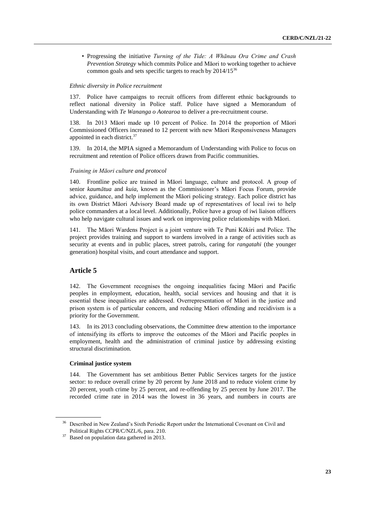• Progressing the initiative *Turning of the Tide: A Whānau Ora Crime and Crash Prevention Strategy* which commits Police and Māori to working together to achieve common goals and sets specific targets to reach by 2014/15<sup>36</sup>

#### *Ethnic diversity in Police recruitment*

137. Police have campaigns to recruit officers from different ethnic backgrounds to reflect national diversity in Police staff. Police have signed a Memorandum of Understanding with *Te Wananga o Aotearoa* to deliver a pre-recruitment course.

138. In 2013 Māori made up 10 percent of Police. In 2014 the proportion of Māori Commissioned Officers increased to 12 percent with new Māori Responsiveness Managers appointed in each district.<sup>37</sup>

139. In 2014, the MPIA signed a Memorandum of Understanding with Police to focus on recruitment and retention of Police officers drawn from Pacific communities.

#### *Training in Māori culture and protocol*

140. Frontline police are trained in Māori language, culture and protocol. A group of senior *kaumātua* and *kuia*, known as the Commissioner's Māori Focus Forum, provide advice, guidance, and help implement the Māori policing strategy. Each police district has its own District Māori Advisory Board made up of representatives of local iwi to help police commanders at a local level. Additionally, Police have a group of iwi liaison officers who help navigate cultural issues and work on improving police relationships with Māori.

141. The Māori Wardens Project is a joint venture with Te Puni Kōkiri and Police. The project provides training and support to wardens involved in a range of activities such as security at events and in public places, street patrols, caring for *rangatahi* (the younger generation) hospital visits, and court attendance and support.

# **Article 5**

142. The Government recognises the ongoing inequalities facing Māori and Pacific peoples in employment, education, health, social services and housing and that it is essential these inequalities are addressed. Overrepresentation of Māori in the justice and prison system is of particular concern, and reducing Māori offending and recidivism is a priority for the Government.

143. In its 2013 concluding observations, the Committee drew attention to the importance of intensifying its efforts to improve the outcomes of the Māori and Pacific peoples in employment, health and the administration of criminal justice by addressing existing structural discrimination.

# **Criminal justice system**

144. The Government has set ambitious Better Public Services targets for the justice sector: to reduce overall crime by 20 percent by June 2018 and to reduce violent crime by 20 percent, youth crime by 25 percent, and re-offending by 25 percent by June 2017. The recorded crime rate in 2014 was the lowest in 36 years, and numbers in courts are

<sup>36</sup> Described in New Zealand's Sixth Periodic Report under the International Covenant on Civil and Political Rights CCPR/C/NZL/6, para. 210.

<sup>&</sup>lt;sup>37</sup> Based on population data gathered in 2013.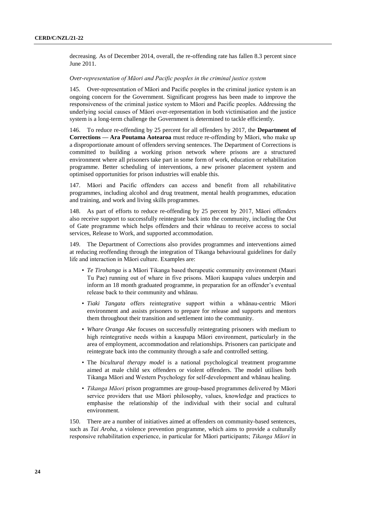decreasing. As of December 2014, overall, the re-offending rate has fallen 8.3 percent since June 2011.

# *Over-representation of Māori and Pacific peoples in the criminal justice system*

145. Over-representation of Māori and Pacific peoples in the criminal justice system is an ongoing concern for the Government. Significant progress has been made to improve the responsiveness of the criminal justice system to Māori and Pacific peoples. Addressing the underlying social causes of Māori over-representation in both victimisation and the justice system is a long-term challenge the Government is determined to tackle efficiently.

146. To reduce re-offending by 25 percent for all offenders by 2017, the **Department of Corrections — Ara Poutama Aotearoa** must reduce re-offending by Māori, who make up a disproportionate amount of offenders serving sentences. The Department of Corrections is committed to building a working prison network where prisons are a structured environment where all prisoners take part in some form of work, education or rehabilitation programme. Better scheduling of interventions, a new prisoner placement system and optimised opportunities for prison industries will enable this.

147. Māori and Pacific offenders can access and benefit from all rehabilitative programmes, including alcohol and drug treatment, mental health programmes, education and training, and work and living skills programmes.

148. As part of efforts to reduce re-offending by 25 percent by 2017, Māori offenders also receive support to successfully reintegrate back into the community, including the Out of Gate programme which helps offenders and their whānau to receive access to social services, Release to Work, and supported accommodation.

149. The Department of Corrections also provides programmes and interventions aimed at reducing reoffending through the integration of Tikanga behavioural guidelines for daily life and interaction in Māori culture. Examples are:

- *Te Tirohanga* is a Māori Tikanga based therapeutic community environment (Mauri Tu Pae) running out of whare in five prisons. Māori kaupapa values underpin and inform an 18 month graduated programme, in preparation for an offender's eventual release back to their community and whānau.
- *Tiaki Tangata* offers reintegrative support within a whānau-centric Māori environment and assists prisoners to prepare for release and supports and mentors them throughout their transition and settlement into the community.
- *Whare Oranga Ake* focuses on successfully reintegrating prisoners with medium to high reintegrative needs within a kaupapa Māori environment, particularly in the area of employment, accommodation and relationships. Prisoners can participate and reintegrate back into the community through a safe and controlled setting.
- The *bicultural therapy model* is a national psychological treatment programme aimed at male child sex offenders or violent offenders. The model utilises both Tikanga Māori and Western Psychology for self-development and whānau healing.
- *Tikanga Māori* prison programmes are group-based programmes delivered by Māori service providers that use Māori philosophy, values, knowledge and practices to emphasise the relationship of the individual with their social and cultural environment.

150. There are a number of initiatives aimed at offenders on community-based sentences, such as *Tai Aroha*, a violence prevention programme, which aims to provide a culturally responsive rehabilitation experience, in particular for Māori participants; *Tikanga Māori* in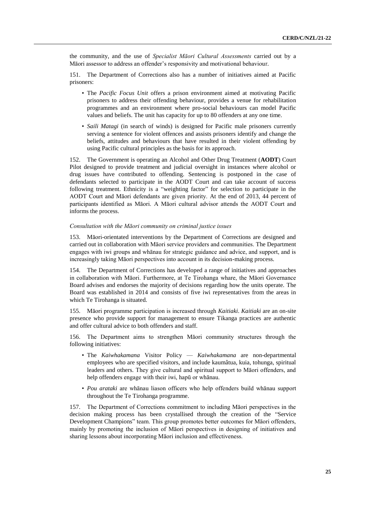the community, and the use of *Specialist Māori Cultural Assessments* carried out by a Māori assessor to address an offender's responsivity and motivational behaviour.

151. The Department of Corrections also has a number of initiatives aimed at Pacific prisoners:

- The *Pacific Focus Unit* offers a prison environment aimed at motivating Pacific prisoners to address their offending behaviour, provides a venue for rehabilitation programmes and an environment where pro-social behaviours can model Pacific values and beliefs. The unit has capacity for up to 80 offenders at any one time.
- *Saili Matagi* (in search of winds) is designed for Pacific male prisoners currently serving a sentence for violent offences and assists prisoners identify and change the beliefs, attitudes and behaviours that have resulted in their violent offending by using Pacific cultural principles as the basis for its approach.

152. The Government is operating an Alcohol and Other Drug Treatment (**AODT**) Court Pilot designed to provide treatment and judicial oversight in instances where alcohol or drug issues have contributed to offending. Sentencing is postponed in the case of defendants selected to participate in the AODT Court and can take account of success following treatment. Ethnicity is a "weighting factor" for selection to participate in the AODT Court and Māori defendants are given priority. At the end of 2013, 44 percent of participants identified as Māori. A Māori cultural advisor attends the AODT Court and informs the process.

# *Consultation with the Māori community on criminal justice issues*

153. Māori-orientated interventions by the Department of Corrections are designed and carried out in collaboration with Māori service providers and communities. The Department engages with iwi groups and whānau for strategic guidance and advice, and support, and is increasingly taking Māori perspectives into account in its decision-making process.

154. The Department of Corrections has developed a range of initiatives and approaches in collaboration with Māori. Furthermore, at Te Tirohanga whare, the Māori Governance Board advises and endorses the majority of decisions regarding how the units operate. The Board was established in 2014 and consists of five iwi representatives from the areas in which Te Tirohanga is situated.

155. Māori programme participation is increased through *Kaitiaki*. *Kaitiaki* are an on-site presence who provide support for management to ensure Tikanga practices are authentic and offer cultural advice to both offenders and staff.

156. The Department aims to strengthen Māori community structures through the following initiatives:

- The *Kaiwhakamana* Visitor Policy *Kaiwhakamana* are non-departmental employees who are specified visitors, and include kaumâtua, kuia, tohunga, spiritual leaders and others. They give cultural and spiritual support to Māori offenders, and help offenders engage with their iwi, hapū or whānau.
- *Pou arataki* are whānau liason officers who help offenders build whānau support throughout the Te Tirohanga programme.

157. The Department of Corrections commitment to including Māori perspectives in the decision making process has been crystallised through the creation of the "Service Development Champions" team. This group promotes better outcomes for Māori offenders, mainly by promoting the inclusion of Māori perspectives in designing of initiatives and sharing lessons about incorporating Māori inclusion and effectiveness.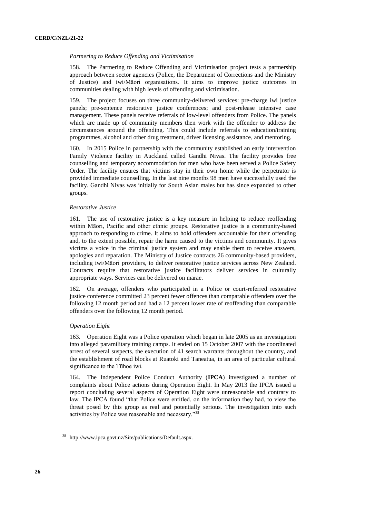# *Partnering to Reduce Offending and Victimisation*

158. The Partnering to Reduce Offending and Victimisation project tests a partnership approach between sector agencies (Police, the Department of Corrections and the Ministry of Justice) and iwi/Māori organisations. It aims to improve justice outcomes in communities dealing with high levels of offending and victimisation.

159. The project focuses on three community-delivered services: pre-charge iwi justice panels; pre-sentence restorative justice conferences; and post-release intensive case management. These panels receive referrals of low-level offenders from Police. The panels which are made up of community members then work with the offender to address the circumstances around the offending. This could include referrals to education/training programmes, alcohol and other drug treatment, driver licensing assistance, and mentoring.

160. In 2015 Police in partnership with the community established an early intervention Family Violence facility in Auckland called Gandhi Nivas. The facility provides free counselling and temporary accommodation for men who have been served a Police Safety Order. The facility ensures that victims stay in their own home while the perpetrator is provided immediate counselling. In the last nine months 98 men have successfully used the facility. Gandhi Nivas was initially for South Asian males but has since expanded to other groups.

# *Restorative Justice*

161. The use of restorative justice is a key measure in helping to reduce reoffending within Māori, Pacific and other ethnic groups. Restorative justice is a community-based approach to responding to crime. It aims to hold offenders accountable for their offending and, to the extent possible, repair the harm caused to the victims and community. It gives victims a voice in the criminal justice system and may enable them to receive answers, apologies and reparation. The Ministry of Justice contracts 26 community-based providers, including iwi/Māori providers, to deliver restorative justice services across New Zealand. Contracts require that restorative justice facilitators deliver services in culturally appropriate ways. Services can be delivered on marae.

162. On average, offenders who participated in a Police or court-referred restorative justice conference committed 23 percent fewer offences than comparable offenders over the following 12 month period and had a 12 percent lower rate of reoffending than comparable offenders over the following 12 month period.

# *Operation Eight*

163. Operation Eight was a Police operation which began in late 2005 as an investigation into alleged paramilitary training camps. It ended on 15 October 2007 with the coordinated arrest of several suspects, the execution of 41 search warrants throughout the country, and the establishment of road blocks at Ruatoki and Taneatua, in an area of particular cultural significance to the Tūhoe iwi.

164. The Independent Police Conduct Authority (**IPCA**) investigated a number of complaints about Police actions during Operation Eight. In May 2013 the IPCA issued a report concluding several aspects of Operation Eight were unreasonable and contrary to law. The IPCA found "that Police were entitled, on the information they had, to view the threat posed by this group as real and potentially serious. The investigation into such activities by Police was reasonable and necessary."<sup>38</sup>

<sup>38</sup> http://www.ipca.govt.nz/Site/publications/Default.aspx.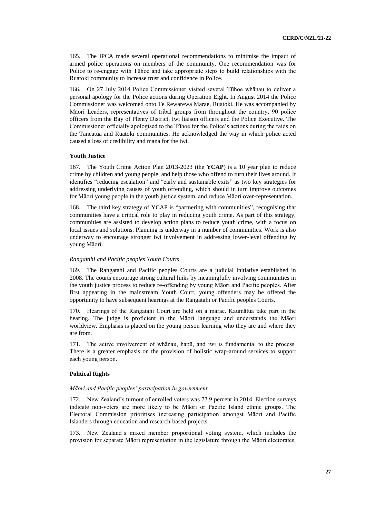165. The IPCA made several operational recommendations to minimise the impact of armed police operations on members of the community. One recommendation was for Police to re-engage with Tūhoe and take appropriate steps to build relationships with the Ruatoki community to increase trust and confidence in Police.

166. On 27 July 2014 Police Commissioner visited several Tūhoe whānau to deliver a personal apology for the Police actions during Operation Eight. In August 2014 the Police Commissioner was welcomed onto Te Rewarewa Marae, Ruatoki. He was accompanied by Māori Leaders, representatives of tribal groups from throughout the country, 90 police officers from the Bay of Plenty District, Iwi liaison officers and the Police Executive. The Commissioner officially apologised to the Tūhoe for the Police's actions during the raids on the Taneatua and Ruatoki communities. He acknowledged the way in which police acted caused a loss of credibility and mana for the iwi.

# **Youth Justice**

167. The Youth Crime Action Plan 2013-2023 (the **YCAP**) is a 10 year plan to reduce crime by children and young people, and help those who offend to turn their lives around. It identifies "reducing escalation" and "early and sustainable exits" as two key strategies for addressing underlying causes of youth offending, which should in turn improve outcomes for Māori young people in the youth justice system, and reduce Māori over-representation.

168. The third key strategy of YCAP is "partnering with communities", recognising that communities have a critical role to play in reducing youth crime. As part of this strategy, communities are assisted to develop action plans to reduce youth crime, with a focus on local issues and solutions. Planning is underway in a number of communities. Work is also underway to encourage stronger iwi involvement in addressing lower-level offending by young Māori.

# *Rangatahi and Pacific peoples Youth Courts*

169. The Rangatahi and Pacific peoples Courts are a judicial initiative established in 2008. The courts encourage strong cultural links by meaningfully involving communities in the youth justice process to reduce re-offending by young Māori and Pacific peoples. After first appearing in the mainstream Youth Court, young offenders may be offered the opportunity to have subsequent hearings at the Rangatahi or Pacific peoples Courts.

170. Hearings of the Rangatahi Court are held on a marae. Kaumātua take part in the hearing. The judge is proficient in the Māori language and understands the Māori worldview. Emphasis is placed on the young person learning who they are and where they are from.

171. The active involvement of whānau, hapū, and iwi is fundamental to the process. There is a greater emphasis on the provision of holistic wrap-around services to support each young person.

## **Political Rights**

#### *Māori and Pacific peoples' participation in government*

172. New Zealand's turnout of enrolled voters was 77.9 percent in 2014. Election surveys indicate non-voters are more likely to be Māori or Pacific Island ethnic groups. The Electoral Commission prioritises increasing participation amongst Māori and Pacific Islanders through education and research-based projects.

173. New Zealand's mixed member proportional voting system, which includes the provision for separate Māori representation in the legislature through the Māori electorates,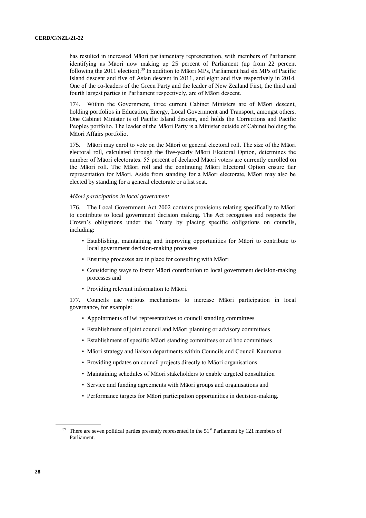has resulted in increased Māori parliamentary representation, with members of Parliament identifying as Māori now making up 25 percent of Parliament (up from 22 percent following the 2011 election).<sup>39</sup> In addition to Māori MPs, Parliament had six MPs of Pacific Island descent and five of Asian descent in 2011, and eight and five respectively in 2014. One of the co-leaders of the Green Party and the leader of New Zealand First, the third and fourth largest parties in Parliament respectively, are of Māori descent.

174. Within the Government, three current Cabinet Ministers are of Māori descent, holding portfolios in Education, Energy, Local Government and Transport, amongst others. One Cabinet Minister is of Pacific Island descent, and holds the Corrections and Pacific Peoples portfolio. The leader of the Māori Party is a Minister outside of Cabinet holding the Māori Affairs portfolio.

175. Māori may enrol to vote on the Māori or general electoral roll. The size of the Māori electoral roll, calculated through the five-yearly Māori Electoral Option, determines the number of Māori electorates. 55 percent of declared Māori voters are currently enrolled on the Māori roll. The Māori roll and the continuing Māori Electoral Option ensure fair representation for Māori. Aside from standing for a Māori electorate, Māori may also be elected by standing for a general electorate or a list seat.

#### *Māori participation in local government*

176. The Local Government Act 2002 contains provisions relating specifically to Māori to contribute to local government decision making. The Act recognises and respects the Crown's obligations under the Treaty by placing specific obligations on councils, including:

- Establishing, maintaining and improving opportunities for Māori to contribute to local government decision-making processes
- Ensuring processes are in place for consulting with Māori
- Considering ways to foster Māori contribution to local government decision-making processes and
- Providing relevant information to Māori.

177. Councils use various mechanisms to increase Māori participation in local governance, for example:

- Appointments of iwi representatives to council standing committees
- Establishment of joint council and Māori planning or advisory committees
- Establishment of specific Māori standing committees or ad hoc committees
- Māori strategy and liaison departments within Councils and Council Kaumatua
- Providing updates on council projects directly to Māori organisations
- Maintaining schedules of Māori stakeholders to enable targeted consultation
- Service and funding agreements with Māori groups and organisations and
- Performance targets for Māori participation opportunities in decision-making.

There are seven political parties presently represented in the 51<sup>st</sup> Parliament by 121 members of Parliament.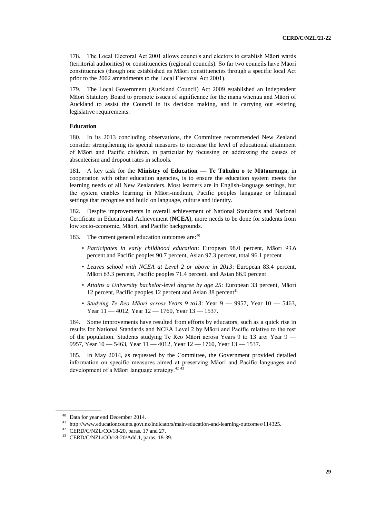178. The Local Electoral Act 2001 allows councils and electors to establish Māori wards (territorial authorities) or constituencies (regional councils). So far two councils have Māori constituencies (though one established its Māori constituencies through a specific local Act prior to the 2002 amendments to the Local Electoral Act 2001).

The Local Government (Auckland Council) Act 2009 established an Independent Māori Statutory Board to promote issues of significance for the mana whenua and Māori of Auckland to assist the Council in its decision making, and in carrying out existing legislative requirements.

# **Education**

180. In its 2013 concluding observations, the Committee recommended New Zealand consider strengthening its special measures to increase the level of educational attainment of Māori and Pacific children, in particular by focussing on addressing the causes of absenteeism and dropout rates in schools.

181. A key task for the **Ministry of Education — Te Tāhuhu o te Mātauranga**, in cooperation with other education agencies, is to ensure the education system meets the learning needs of all New Zealanders. Most learners are in English-language settings, but the system enables learning in Māori-medium, Pacific peoples language or bilingual settings that recognise and build on language, culture and identity.

182. Despite improvements in overall achievement of National Standards and National Certificate in Educational Achievement (**NCEA**), more needs to be done for students from low socio-economic, Māori, and Pacific backgrounds.

183. The current general education outcomes are:<sup>40</sup>

- *Participates in early childhood education*: European 98.0 percent, Māori 93.6 percent and Pacific peoples 90.7 percent, Asian 97.3 percent, total 96.1 percent
- *Leaves school with NCEA at Level 2 or above in 2013*: European 83.4 percent, Māori 63.3 percent, Pacific peoples 71.4 percent, and Asian 86.9 percent
- *Attains a University bachelor-level degree by age 25*: European 33 percent, Māori 12 percent, Pacific peoples 12 percent and Asian 38 percent<sup>41</sup>
- *Studying Te Reo Māori across Years 9 to13*: Year 9 9957, Year 10 5463, Year 11 — 4012, Year 12 — 1760, Year 13 — 1537.

184. Some improvements have resulted from efforts by educators, such as a quick rise in results for National Standards and NCEA Level 2 by Māori and Pacific relative to the rest of the population. Students studying Te Reo Māori across Years 9 to 13 are: Year 9 — 9957, Year 10 — 5463, Year 11 — 4012, Year 12 — 1760, Year 13 — 1537.

185. In May 2014, as requested by the Committee, the Government provided detailed information on specific measures aimed at preserving Māori and Pacific languages and development of a Māori language strategy.<sup>42 43</sup>

<sup>&</sup>lt;sup>40</sup> Data for year end December 2014.

<sup>41</sup> http://www.educationcounts.govt.nz/indicators/main/education-and-learning-outcomes/114325.

 $42$  CERD/C/NZL/CO/18-20, paras. 17 and 27.

<sup>43</sup> CERD/C/NZL/CO/18-20/Add.1, paras. 18-39.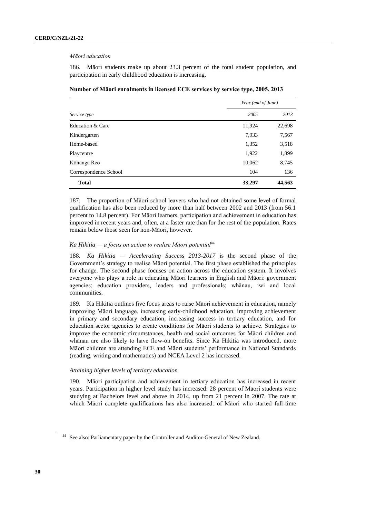#### *Māori education*

186. Māori students make up about 23.3 percent of the total student population, and participation in early childhood education is increasing.

|                       | Year (end of June) |        |  |
|-----------------------|--------------------|--------|--|
| Service type          | 2005               | 2013   |  |
| Education & Care      | 11,924             | 22,698 |  |
| Kindergarten          | 7,933              | 7,567  |  |
| Home-based            | 1,352              | 3,518  |  |
| Playcentre            | 1,922              | 1,899  |  |
| Kōhanga Reo           | 10,062             | 8,745  |  |
| Correspondence School | 104                | 136    |  |
| <b>Total</b>          | 33,297             | 44,563 |  |

**Number of Māori enrolments in licensed ECE services by service type, 2005, 2013**

187. The proportion of Māori school leavers who had not obtained some level of formal qualification has also been reduced by more than half between 2002 and 2013 (from 56.1 percent to 14.8 percent). For Māori learners, participation and achievement in education has improved in recent years and, often, at a faster rate than for the rest of the population. Rates remain below those seen for non-Māori, however.

# *Ka Hikitia — a focus on action to realise Māori potential*<sup>44</sup>

188. *Ka Hikitia — Accelerating Success 2013-2017* is the second phase of the Government's strategy to realise Māori potential. The first phase established the principles for change. The second phase focuses on action across the education system. It involves everyone who plays a role in educating Māori learners in English and Māori: government agencies; education providers, leaders and professionals; whānau, iwi and local communities.

189. Ka Hikitia outlines five focus areas to raise Māori achievement in education, namely improving Māori language, increasing early-childhood education, improving achievement in primary and secondary education, increasing success in tertiary education, and for education sector agencies to create conditions for Māori students to achieve. Strategies to improve the economic circumstances, health and social outcomes for Māori children and whānau are also likely to have flow-on benefits. Since Ka Hikitia was introduced, more Māori children are attending ECE and Māori students' performance in National Standards (reading, writing and mathematics) and NCEA Level 2 has increased.

# *Attaining higher levels of tertiary education*

190. Māori participation and achievement in tertiary education has increased in recent years. Participation in higher level study has increased: 28 percent of Māori students were studying at Bachelors level and above in 2014, up from 21 percent in 2007. The rate at which Māori complete qualifications has also increased: of Māori who started full-time

<sup>&</sup>lt;sup>44</sup> See also: Parliamentary paper by the Controller and Auditor-General of New Zealand.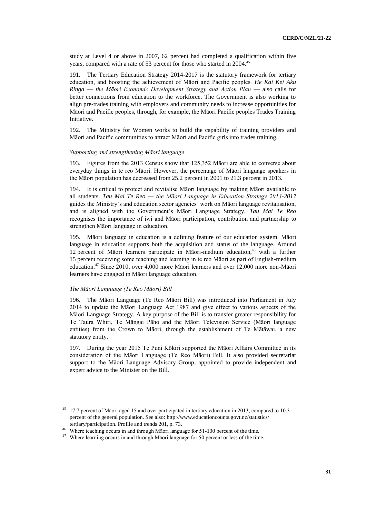study at Level 4 or above in 2007, 62 percent had completed a qualification within five years, compared with a rate of 53 percent for those who started in 2004.<sup>45</sup>

191. The Tertiary Education Strategy 2014-2017 is the statutory framework for tertiary education, and boosting the achievement of Māori and Pacific peoples. *He Kai Kei Aku Ringa* — *the Māori Economic Development Strategy and Action Plan* — also calls for better connections from education to the workforce. The Government is also working to align pre-trades training with employers and community needs to increase opportunities for Māori and Pacific peoples, through, for example, the Māori Pacific peoples Trades Training Initiative.

192. The Ministry for Women works to build the capability of training providers and Māori and Pacific communities to attract Māori and Pacific girls into trades training.

# *Supporting and strengthening Māori language*

193. Figures from the 2013 Census show that 125,352 Māori are able to converse about everyday things in te reo Māori. However, the percentage of Māori language speakers in the Māori population has decreased from 25.2 percent in 2001 to 21.3 percent in 2013.

194. It is critical to protect and revitalise Māori language by making Māori available to all students. *Tau Mai Te Reo — the Māori Language in Education Strategy 2013-2017* guides the Ministry's and education sector agencies' work on Māori language revitalisation, and is aligned with the Government's Māori Language Strategy. *Tau Mai Te Reo* recognises the importance of iwi and Māori participation, contribution and partnership to strengthen Māori language in education.

195. Māori language in education is a defining feature of our education system. Māori language in education supports both the acquisition and status of the language. Around 12 percent of Māori learners participate in Māori-medium education, <sup>46</sup> with a further 15 percent receiving some teaching and learning in te reo Māori as part of English-medium education. <sup>47</sup> Since 2010, over 4,000 more Māori learners and over 12,000 more non-Māori learners have engaged in Māori language education.

# *The Māori Language (Te Reo Māori) Bill*

196. The Māori Language (Te Reo Māori Bill) was introduced into Parliament in July 2014 to update the Māori Language Act 1987 and give effect to various aspects of the Māori Language Strategy. A key purpose of the Bill is to transfer greater responsibility for Te Taura Whiri, Te Māngai Pāho and the Māori Television Service (Māori language entities) from the Crown to Māori, through the establishment of Te Mātāwai, a new statutory entity.

197. During the year 2015 Te Puni Kōkiri supported the Māori Affairs Committee in its consideration of the Māori Language (Te Reo Māori) Bill. It also provided secretariat support to the Māori Language Advisory Group, appointed to provide independent and expert advice to the Minister on the Bill.

<sup>&</sup>lt;sup>45</sup> 17.7 percent of Māori aged 15 and over participated in tertiary education in 2013, compared to 10.3 percent of the general population. See also: [http://www.educationcounts.govt.nz/statistics/](http://www.educationcounts.govt.nz/statistics/tertiary/participation) [tertiary/participation.](http://www.educationcounts.govt.nz/statistics/tertiary/participation) Profile and trends 201, p. 73.

<sup>&</sup>lt;sup>46</sup> Where teaching occurs in and through Māori language for 51-100 percent of the time.

<sup>&</sup>lt;sup>47</sup> Where learning occurs in and through Māori language for 50 percent or less of the time.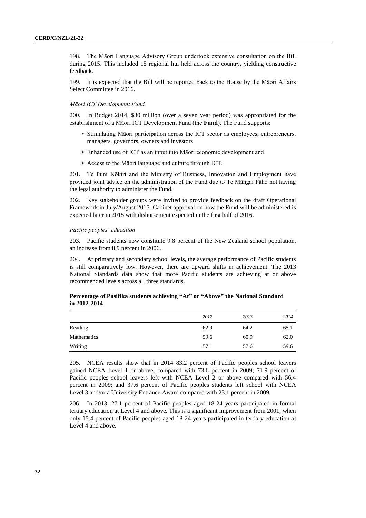198. The Māori Language Advisory Group undertook extensive consultation on the Bill during 2015. This included 15 regional hui held across the country, yielding constructive feedback.

199. It is expected that the Bill will be reported back to the House by the Māori Affairs Select Committee in 2016.

# *Māori ICT Development Fund*

200. In Budget 2014, \$30 million (over a seven year period) was appropriated for the establishment of a Māori ICT Development Fund (the **Fund**). The Fund supports:

- Stimulating Māori participation across the ICT sector as employees, entrepreneurs, managers, governors, owners and investors
- Enhanced use of ICT as an input into Māori economic development and
- Access to the Māori language and culture through ICT.

201. Te Puni Kōkiri and the Ministry of Business, Innovation and Employment have provided joint advice on the administration of the Fund due to Te Māngai Pāho not having the legal authority to administer the Fund.

202. Key stakeholder groups were invited to provide feedback on the draft Operational Framework in July/August 2015. Cabinet approval on how the Fund will be administered is expected later in 2015 with disbursement expected in the first half of 2016.

#### *Pacific peoples' education*

203. Pacific students now constitute 9.8 percent of the New Zealand school population, an increase from 8.9 percent in 2006.

204. At primary and secondary school levels, the average performance of Pacific students is still comparatively low. However, there are upward shifts in achievement. The 2013 National Standards data show that more Pacific students are achieving at or above recommended levels across all three standards.

# **in 2012-2014**

**Percentage of Pasifika students achieving "At" or "Above" the National Standard** 

|                    | 2012 | 2013 | 2014 |
|--------------------|------|------|------|
| Reading            | 62.9 | 64.2 | 65.1 |
| <b>Mathematics</b> | 59.6 | 60.9 | 62.0 |
| Writing            | 57.1 | 57.6 | 59.6 |

205. NCEA results show that in 2014 83.2 percent of Pacific peoples school leavers gained NCEA Level 1 or above, compared with 73.6 percent in 2009; 71.9 percent of Pacific peoples school leavers left with NCEA Level 2 or above compared with 56.4 percent in 2009; and 37.6 percent of Pacific peoples students left school with NCEA Level 3 and/or a University Entrance Award compared with 23.1 percent in 2009.

206. In 2013, 27.1 percent of Pacific peoples aged 18-24 years participated in formal tertiary education at Level 4 and above. This is a significant improvement from 2001, when only 15.4 percent of Pacific peoples aged 18-24 years participated in tertiary education at Level 4 and above.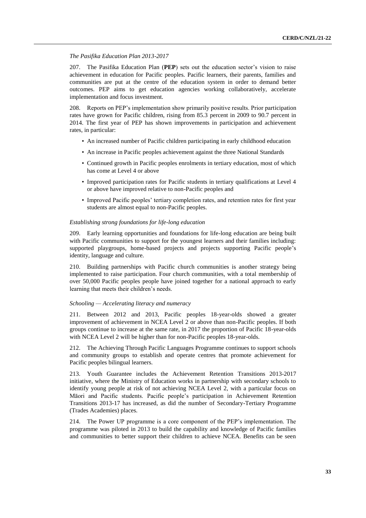# *The Pasifika Education Plan 2013-2017*

207. The Pasifika Education Plan (**PEP**) sets out the education sector's vision to raise achievement in education for Pacific peoples. Pacific learners, their parents, families and communities are put at the centre of the education system in order to demand better outcomes. PEP aims to get education agencies working collaboratively, accelerate implementation and focus investment.

208. Reports on PEP's implementation show primarily positive results. Prior participation rates have grown for Pacific children, rising from 85.3 percent in 2009 to 90.7 percent in 2014. The first year of PEP has shown improvements in participation and achievement rates, in particular:

- An increased number of Pacific children participating in early childhood education
- An increase in Pacific peoples achievement against the three National Standards
- Continued growth in Pacific peoples enrolments in tertiary education, most of which has come at Level 4 or above
- Improved participation rates for Pacific students in tertiary qualifications at Level 4 or above have improved relative to non-Pacific peoples and
- Improved Pacific peoples' tertiary completion rates, and retention rates for first year students are almost equal to non-Pacific peoples.

# *Establishing strong foundations for life-long education*

209. Early learning opportunities and foundations for life-long education are being built with Pacific communities to support for the youngest learners and their families including: supported playgroups, home-based projects and projects supporting Pacific people's identity, language and culture.

210. Building partnerships with Pacific church communities is another strategy being implemented to raise participation. Four church communities, with a total membership of over 50,000 Pacific peoples people have joined together for a national approach to early learning that meets their children's needs.

# *Schooling — Accelerating literacy and numeracy*

211. Between 2012 and 2013, Pacific peoples 18-year-olds showed a greater improvement of achievement in NCEA Level 2 or above than non-Pacific peoples. If both groups continue to increase at the same rate, in 2017 the proportion of Pacific 18-year-olds with NCEA Level 2 will be higher than for non-Pacific peoples 18-year-olds.

212. The Achieving Through Pacific Languages Programme continues to support schools and community groups to establish and operate centres that promote achievement for Pacific peoples bilingual learners.

213. Youth Guarantee includes the Achievement Retention Transitions 2013-2017 initiative, where the Ministry of Education works in partnership with secondary schools to identify young people at risk of not achieving NCEA Level 2, with a particular focus on Māori and Pacific students. Pacific people's participation in Achievement Retention Transitions 2013-17 has increased, as did the number of Secondary-Tertiary Programme (Trades Academies) places.

214. The Power UP programme is a core component of the PEP's implementation. The programme was piloted in 2013 to build the capability and knowledge of Pacific families and communities to better support their children to achieve NCEA. Benefits can be seen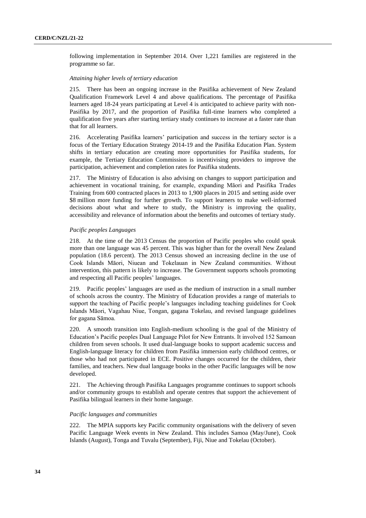following implementation in September 2014. Over 1,221 families are registered in the programme so far.

# *Attaining higher levels of tertiary education*

215. There has been an ongoing increase in the Pasifika achievement of New Zealand Qualification Framework Level 4 and above qualifications. The percentage of Pasifika learners aged 18-24 years participating at Level 4 is anticipated to achieve parity with non-Pasifika by 2017, and the proportion of Pasifika full-time learners who completed a qualification five years after starting tertiary study continues to increase at a faster rate than that for all learners.

216. Accelerating Pasifika learners' participation and success in the tertiary sector is a focus of the Tertiary Education Strategy 2014-19 and the Pasifika Education Plan. System shifts in tertiary education are creating more opportunities for Pasifika students, for example, the Tertiary Education Commission is incentivising providers to improve the participation, achievement and completion rates for Pasifika students.

217. The Ministry of Education is also advising on changes to support participation and achievement in vocational training, for example, expanding Māori and Pasifika Trades Training from 600 contracted places in 2013 to 1,900 places in 2015 and setting aside over \$8 million more funding for further growth. To support learners to make well-informed decisions about what and where to study, the Ministry is improving the quality, accessibility and relevance of information about the benefits and outcomes of tertiary study.

# *Pacific peoples Languages*

218. At the time of the 2013 Census the proportion of Pacific peoples who could speak more than one language was 45 percent. This was higher than for the overall New Zealand population (18.6 percent). The 2013 Census showed an increasing decline in the use of Cook Islands Māori, Niuean and Tokelauan in New Zealand communities. Without intervention, this pattern is likely to increase. The Government supports schools promoting and respecting all Pacific peoples' languages.

219. Pacific peoples' languages are used as the medium of instruction in a small number of schools across the country. The Ministry of Education provides a range of materials to support the teaching of Pacific people's languages including teaching guidelines for Cook Islands Māori, Vagahau Niue, Tongan, gagana Tokelau, and revised language guidelines for gagana Sāmoa.

220. A smooth transition into English-medium schooling is the goal of the Ministry of Education's Pacific peoples Dual Language Pilot for New Entrants. It involved 152 Samoan children from seven schools. It used dual-language books to support academic success and English-language literacy for children from Pasifika immersion early childhood centres, or those who had not participated in ECE. Positive changes occurred for the children, their families, and teachers. New dual language books in the other Pacific languages will be now developed.

221. The Achieving through Pasifika Languages programme continues to support schools and/or community groups to establish and operate centres that support the achievement of Pasifika bilingual learners in their home language.

# *Pacific languages and communities*

222. The MPIA supports key Pacific community organisations with the delivery of seven Pacific Language Week events in New Zealand. This includes Samoa (May/June), Cook Islands (August), Tonga and Tuvalu (September), Fiji, Niue and Tokelau (October).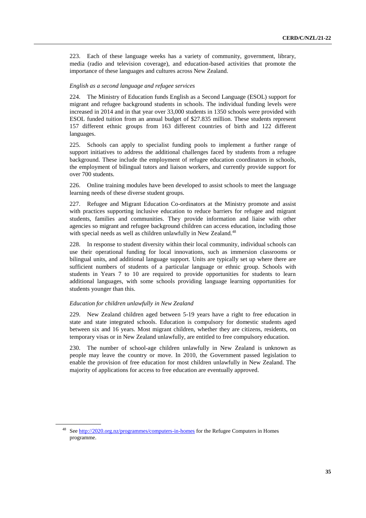223. Each of these language weeks has a variety of community, government, library, media (radio and television coverage), and education-based activities that promote the importance of these languages and cultures across New Zealand.

#### *English as a second language and refugee services*

224. The Ministry of Education funds English as a Second Language (ESOL) support for migrant and refugee background students in schools. The individual funding levels were increased in 2014 and in that year over 33,000 students in 1350 schools were provided with ESOL funded tuition from an annual budget of \$27.835 million. These students represent 157 different ethnic groups from 163 different countries of birth and 122 different languages.

225. Schools can apply to specialist funding pools to implement a further range of support initiatives to address the additional challenges faced by students from a refugee background. These include the employment of refugee education coordinators in schools, the employment of bilingual tutors and liaison workers, and currently provide support for over 700 students.

226. Online training modules have been developed to assist schools to meet the language learning needs of these diverse student groups.

227. Refugee and Migrant Education Co-ordinators at the Ministry promote and assist with practices supporting inclusive education to reduce barriers for refugee and migrant students, families and communities. They provide information and liaise with other agencies so migrant and refugee background children can access education, including those with special needs as well as children unlawfully in New Zealand.<sup>48</sup>

228. In response to student diversity within their local community, individual schools can use their operational funding for local innovations, such as immersion classrooms or bilingual units, and additional language support. Units are typically set up where there are sufficient numbers of students of a particular language or ethnic group. Schools with students in Years 7 to 10 are required to provide opportunities for students to learn additional languages, with some schools providing language learning opportunities for students younger than this.

# *Education for children unlawfully in New Zealand*

229. New Zealand children aged between 5-19 years have a right to free education in state and state integrated schools. Education is compulsory for domestic students aged between six and 16 years. Most migrant children, whether they are citizens, residents, on temporary visas or in New Zealand unlawfully, are entitled to free compulsory education.

230. The number of school-age children unlawfully in New Zealand is unknown as people may leave the country or move. In 2010, the Government passed legislation to enable the provision of free education for most children unlawfully in New Zealand. The majority of applications for access to free education are eventually approved.

<sup>&</sup>lt;sup>48</sup> Se[e http://2020.org.nz/programmes/computers-in-homes](http://2020.org.nz/programmes/computers-in-homes) for the Refugee Computers in Homes programme.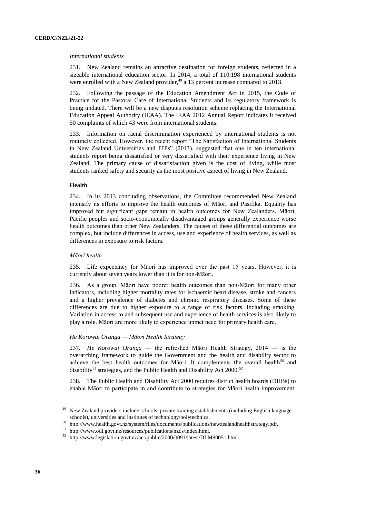#### *International students*

231. New Zealand remains an attractive destination for foreign students, reflected in a sizeable international education sector. In 2014, a total of 110,198 international students were enrolled with a New Zealand provider,<sup>49</sup> a 13 percent increase compared to 2013.

232. Following the passage of the Education Amendment Act in 2015, the Code of Practice for the Pastoral Care of International Students and its regulatory framework is being updated. There will be a new disputes resolution scheme replacing the International Education Appeal Authority (IEAA). The IEAA 2012 Annual Report indicates it received 50 complaints of which 43 were from international students.

233. Information on racial discrimination experienced by international students is not routinely collected. However, the recent report "The Satisfaction of International Students in New Zealand Universities and ITPs" (2013), suggested that one in ten international students report being dissatisfied or very dissatisfied with their experience living in New Zealand. The primary cause of dissatisfaction given is the cost of living, while most students ranked safety and security as the most positive aspect of living in New Zealand.

# **Health**

234. In its 2013 concluding observations, the Committee recommended New Zealand intensify its efforts to improve the health outcomes of Māori and Pasifika. Equality has improved but significant gaps remain in health outcomes for New Zealanders. Māori, Pacific peoples and socio-economically disadvantaged groups generally experience worse health outcomes than other New Zealanders. The causes of these differential outcomes are complex, but include differences in access, use and experience of health services, as well as differences in exposure to risk factors.

# *Māori health*

235. Life expectancy for Māori has improved over the past 15 years. However, it is currently about seven years lower than it is for non-Māori.

236. As a group, Māori have poorer health outcomes than non-Māori for many other indicators, including higher mortality rates for ischaemic heart disease, stroke and cancers and a higher prevalence of diabetes and chronic respiratory diseases. Some of these differences are due to higher exposure to a range of risk factors, including smoking. Variation in access to and subsequent use and experience of health services is also likely to play a role. Māori are more likely to experience unmet need for primary health care.

# *He Korowai Oranga — Māori Health Strategy*

237. *He Korowai Oranga* — the refreshed Māori Health Strategy, 2014 — is the overarching framework to guide the Government and the health and disability sector to achieve the best health outcomes for Māori. It complements the overall health<sup>50</sup> and disability<sup>51</sup> strategies, and the Public Health and Disability Act  $2000$ .<sup>52</sup>

238. The Public Health and Disability Act 2000 requires district health boards (DHBs) to enable Māori to participate in and contribute to strategies for Māori health improvement.

<sup>&</sup>lt;sup>49</sup> New Zealand providers include schools, private training establishments (including English language schools), universities and institutes of technology/polytechnics.

<sup>50</sup> http://www.health.govt.nz/system/files/documents/publications/newzealandhealthstrategy.pdf.

 $^{51}\,$ http://www.odi.govt.nz/resources/publications/nzds/index.html.

<sup>52</sup> http://www.legislation.govt.nz/act/public/2000/0091/latest/DLM80051.html.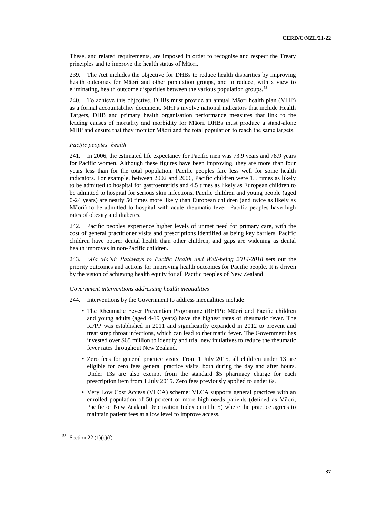These, and related requirements, are imposed in order to recognise and respect the Treaty principles and to improve the health status of Māori.

239. The Act includes the objective for DHBs to reduce health disparities by improving health outcomes for Māori and other population groups, and to reduce, with a view to eliminating, health outcome disparities between the various population groups.<sup>53</sup>

240. To achieve this objective, DHBs must provide an annual Māori health plan (MHP) as a formal accountability document. MHPs involve national indicators that include Health Targets, DHB and primary health organisation performance measures that link to the leading causes of mortality and morbidity for Māori. DHBs must produce a stand-alone MHP and ensure that they monitor Māori and the total population to reach the same targets.

#### *Pacific peoples' health*

241. In 2006, the estimated life expectancy for Pacific men was 73.9 years and 78.9 years for Pacific women. Although these figures have been improving, they are more than four years less than for the total population. Pacific peoples fare less well for some health indicators. For example, between 2002 and 2006, Pacific children were 1.5 times as likely to be admitted to hospital for gastroenteritis and 4.5 times as likely as European children to be admitted to hospital for serious skin infections. Pacific children and young people (aged 0-24 years) are nearly 50 times more likely than European children (and twice as likely as Māori) to be admitted to hospital with acute rheumatic fever. Pacific peoples have high rates of obesity and diabetes.

242. Pacific peoples experience higher levels of unmet need for primary care, with the cost of general practitioner visits and prescriptions identified as being key barriers. Pacific children have poorer dental health than other children, and gaps are widening as dental health improves in non-Pacific children.

243. '*Ala Mo'ui: Pathways to Pacific Health and Well-being 2014-2018* sets out the priority outcomes and actions for improving health outcomes for Pacific people. It is driven by the vision of achieving health equity for all Pacific peoples of New Zealand.

# *Government interventions addressing health inequalities*

- 244. Interventions by the Government to address inequalities include:
	- The Rheumatic Fever Prevention Programme (RFPP): Māori and Pacific children and young adults (aged 4-19 years) have the highest rates of rheumatic fever. The RFPP was established in 2011 and significantly expanded in 2012 to prevent and treat strep throat infections, which can lead to rheumatic fever. The Government has invested over \$65 million to identify and trial new initiatives to reduce the rheumatic fever rates throughout New Zealand.
	- Zero fees for general practice visits: From 1 July 2015, all children under 13 are eligible for zero fees general practice visits, both during the day and after hours. Under 13s are also exempt from the standard \$5 pharmacy charge for each prescription item from 1 July 2015. Zero fees previously applied to under 6s.
	- Very Low Cost Access (VLCA) scheme: VLCA supports general practices with an enrolled population of 50 percent or more high-needs patients (defined as Māori, Pacific or New Zealand Deprivation Index quintile 5) where the practice agrees to maintain patient fees at a low level to improve access.

<sup>53</sup> Section 22 (1)(e)(f).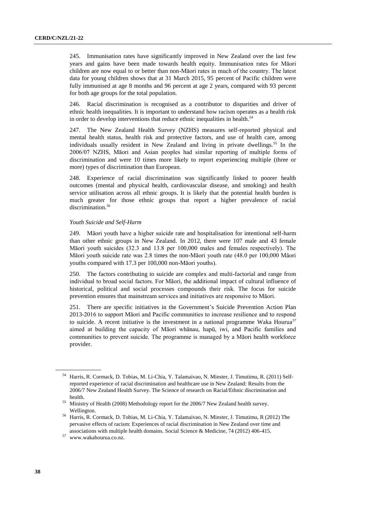245. Immunisation rates have significantly improved in New Zealand over the last few years and gains have been made towards health equity. Immunisation rates for Māori children are now equal to or better than non-Māori rates in much of the country. The latest data for young children shows that at 31 March 2015, 95 percent of Pacific children were fully immunised at age 8 months and 96 percent at age 2 years, compared with 93 percent for both age groups for the total population.

246. Racial discrimination is recognised as a contributor to disparities and driver of ethnic health inequalities. It is important to understand how racism operates as a health risk in order to develop interventions that reduce ethnic inequalities in health.<sup>54</sup>

247. The New Zealand Health Survey (NZHS) measures self-reported physical and mental health status, health risk and protective factors, and use of health care, among individuals usually resident in New Zealand and living in private dwellings.<sup>55</sup> In the 2006/07 NZHS, Māori and Asian peoples had similar reporting of multiple forms of discrimination and were 10 times more likely to report experiencing multiple (three or more) types of discrimination than European.

248. Experience of racial discrimination was significantly linked to poorer health outcomes (mental and physical health, cardiovascular disease, and smoking) and health service utilisation across all ethnic groups. It is likely that the potential health burden is much greater for those ethnic groups that report a higher prevalence of racial discrimination.<sup>56</sup>

# *Youth Suicide and Self-Harm*

249. Māori youth have a higher suicide rate and hospitalisation for intentional self-harm than other ethnic groups in New Zealand. In 2012, there were 107 male and 43 female Māori youth suicides (32.3 and 13.8 per 100,000 males and females respectively). The Māori youth suicide rate was 2.8 times the non-Māori youth rate (48.0 per 100,000 Māori youths compared with 17.3 per 100,000 non-Māori youths).

250. The factors contributing to suicide are complex and multi-factorial and range from individual to broad social factors. For Māori, the additional impact of cultural influence of historical, political and social processes compounds their risk. The focus for suicide prevention ensures that mainstream services and initiatives are responsive to Māori.

251. There are specific initiatives in the Government's Suicide Prevention Action Plan 2013-2016 to support Māori and Pacific communities to increase resilience and to respond to suicide. A recent initiative is the investment in a national programme Waka Hourua<sup>57</sup> aimed at building the capacity of Māori whānau, hapū, iwi, and Pacific families and communities to prevent suicide. The programme is managed by a Māori health workforce provider.

<sup>54</sup> Harris, R. Cormack, D. Tobias, M. Li-Chia, Y. Talamaivao, N. Minster, J. Timutimu, R. (2011) Selfreported experience of racial discrimination and healthcare use in New Zealand: Results from the 2006/7 New Zealand Health Survey. The Science of research on Racial/Ethnic discrimination and health.

<sup>&</sup>lt;sup>55</sup> Ministry of Health (2008) Methodology report for the 2006/7 New Zealand health survey. Wellington.

<sup>56</sup> Harris, R. Cormack, D. Tobias, M. Li-Chia, Y. Talamaivao, N. Minster, J. Timutimu, R (2012) The pervasive effects of racism: Experiences of racial discrimination in New Zealand over time and associations with multiple health domains. Social Science & Medicine, 74 (2012) 406-415.

 $57\,$ [www.wakahourua.co.nz.](http://www.wakahourua.co.nz/)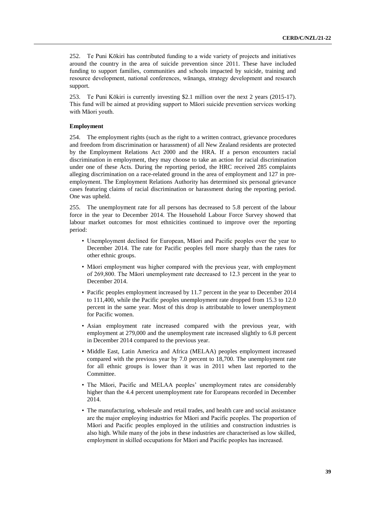252. Te Puni Kōkiri has contributed funding to a wide variety of projects and initiatives around the country in the area of suicide prevention since 2011. These have included funding to support families, communities and schools impacted by suicide, training and resource development, national conferences, wānanga, strategy development and research support.

253. Te Puni Kōkiri is currently investing \$2.1 million over the next 2 years (2015-17). This fund will be aimed at providing support to Māori suicide prevention services working with Māori youth.

# **Employment**

254. The employment rights (such as the right to a written contract, grievance procedures and freedom from discrimination or harassment) of all New Zealand residents are protected by the Employment Relations Act 2000 and the HRA. If a person encounters racial discrimination in employment, they may choose to take an action for racial discrimination under one of these Acts. During the reporting period, the HRC received 285 complaints alleging discrimination on a race-related ground in the area of employment and 127 in preemployment. The Employment Relations Authority has determined six personal grievance cases featuring claims of racial discrimination or harassment during the reporting period. One was upheld.

255. The unemployment rate for all persons has decreased to 5.8 percent of the labour force in the year to December 2014. The Household Labour Force Survey showed that labour market outcomes for most ethnicities continued to improve over the reporting period:

- Unemployment declined for European, Māori and Pacific peoples over the year to December 2014. The rate for Pacific peoples fell more sharply than the rates for other ethnic groups.
- Māori employment was higher compared with the previous year, with employment of 269,800. The Māori unemployment rate decreased to 12.3 percent in the year to December 2014.
- Pacific peoples employment increased by 11.7 percent in the year to December 2014 to 111,400, while the Pacific peoples unemployment rate dropped from 15.3 to 12.0 percent in the same year. Most of this drop is attributable to lower unemployment for Pacific women.
- Asian employment rate increased compared with the previous year, with employment at 279,000 and the unemployment rate increased slightly to 6.8 percent in December 2014 compared to the previous year.
- Middle East, Latin America and Africa (MELAA) peoples employment increased compared with the previous year by 7.0 percent to 18,700. The unemployment rate for all ethnic groups is lower than it was in 2011 when last reported to the Committee.
- The Māori, Pacific and MELAA peoples' unemployment rates are considerably higher than the 4.4 percent unemployment rate for Europeans recorded in December 2014.
- The manufacturing, wholesale and retail trades, and health care and social assistance are the major employing industries for Māori and Pacific peoples. The proportion of Māori and Pacific peoples employed in the utilities and construction industries is also high. While many of the jobs in these industries are characterised as low skilled, employment in skilled occupations for Māori and Pacific peoples has increased.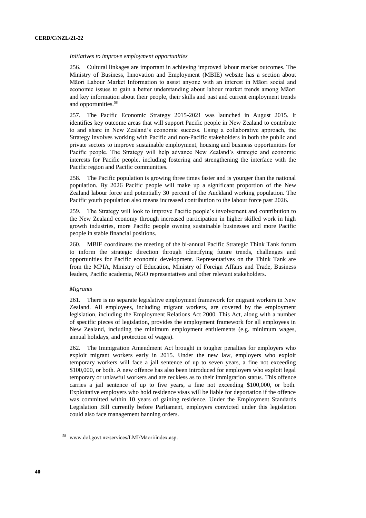# *Initiatives to improve employment opportunities*

256. Cultural linkages are important in achieving improved labour market outcomes. The Ministry of Business, Innovation and Employment (MBIE) website has a section about Māori Labour Market Information to assist anyone with an interest in Māori social and economic issues to gain a better understanding about labour market trends among Māori and key information about their people, their skills and past and current employment trends and opportunities.<sup>58</sup>

257. The Pacific Economic Strategy 2015-2021 was launched in August 2015. It identifies key outcome areas that will support Pacific people in New Zealand to contribute to and share in New Zealand's economic success. Using a collaborative approach, the Strategy involves working with Pacific and non-Pacific stakeholders in both the public and private sectors to improve sustainable employment, housing and business opportunities for Pacific people. The Strategy will help advance New Zealand's strategic and economic interests for Pacific people, including fostering and strengthening the interface with the Pacific region and Pacific communities.

258. The Pacific population is growing three times faster and is younger than the national population. By 2026 Pacific people will make up a significant proportion of the New Zealand labour force and potentially 30 percent of the Auckland working population. The Pacific youth population also means increased contribution to the labour force past 2026.

259. The Strategy will look to improve Pacific people's involvement and contribution to the New Zealand economy through increased participation in higher skilled work in high growth industries, more Pacific people owning sustainable businesses and more Pacific people in stable financial positions.

260. MBIE coordinates the meeting of the bi-annual Pacific Strategic Think Tank forum to inform the strategic direction through identifying future trends, challenges and opportunities for Pacific economic development. Representatives on the Think Tank are from the MPIA, Ministry of Education, Ministry of Foreign Affairs and Trade, Business leaders, Pacific academia, NGO representatives and other relevant stakeholders.

# *Migrants*

261. There is no separate legislative employment framework for migrant workers in New Zealand. All employees, including migrant workers, are covered by the employment legislation, including the Employment Relations Act 2000. This Act, along with a number of specific pieces of legislation, provides the employment framework for all employees in New Zealand, including the minimum employment entitlements (e.g. minimum wages, annual holidays, and protection of wages).

262. The Immigration Amendment Act brought in tougher penalties for employers who exploit migrant workers early in 2015. Under the new law, employers who exploit temporary workers will face a jail sentence of up to seven years, a fine not exceeding \$100,000, or both. A new offence has also been introduced for employers who exploit legal temporary or unlawful workers and are reckless as to their immigration status. This offence carries a jail sentence of up to five years, a fine not exceeding \$100,000, or both. Exploitative employers who hold residence visas will be liable for deportation if the offence was committed within 10 years of gaining residence. Under the Employment Standards Legislation Bill currently before Parliament, employers convicted under this legislation could also face management banning orders.

<sup>58</sup> www.dol.govt.nz/services/LMI/Māori/index.asp.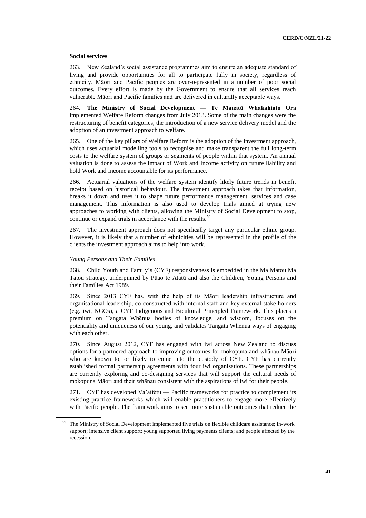# **Social services**

263. New Zealand's social assistance programmes aim to ensure an adequate standard of living and provide opportunities for all to participate fully in society, regardless of ethnicity. Māori and Pacific peoples are over-represented in a number of poor social outcomes. Every effort is made by the Government to ensure that all services reach vulnerable Māori and Pacific families and are delivered in culturally acceptable ways.

264. **The Ministry of Social Development — Te Manatū Whakahiato Ora**  implemented Welfare Reform changes from July 2013. Some of the main changes were the restructuring of benefit categories, the introduction of a new service delivery model and the adoption of an investment approach to welfare.

265. One of the key pillars of Welfare Reform is the adoption of the investment approach, which uses actuarial modelling tools to recognise and make transparent the full long-term costs to the welfare system of groups or segments of people within that system. An annual valuation is done to assess the impact of Work and Income activity on future liability and hold Work and Income accountable for its performance.

266. Actuarial valuations of the welfare system identify likely future trends in benefit receipt based on historical behaviour. The investment approach takes that information, breaks it down and uses it to shape future performance management, services and case management. This information is also used to develop trials aimed at trying new approaches to working with clients, allowing the Ministry of Social Development to stop, continue or expand trials in accordance with the results.<sup>59</sup>

267. The investment approach does not specifically target any particular ethnic group. However, it is likely that a number of ethnicities will be represented in the profile of the clients the investment approach aims to help into work.

# *Young Persons and Their Families*

268. Child Youth and Family's (CYF) responsiveness is embedded in the Ma Matou Ma Tatou strategy, underpinned by Pūao te Atatū and also the Children, Young Persons and their Families Act 1989.

269. Since 2013 CYF has, with the help of its Māori leadership infrastructure and organisational leadership, co-constructed with internal staff and key external stake holders (e.g. iwi, NGOs), a CYF Indigenous and Bicultural Principled Framework. This places a premium on Tangata Whēnua bodies of knowledge, and wisdom, focuses on the potentiality and uniqueness of our young, and validates Tangata Whenua ways of engaging with each other.

270. Since August 2012, CYF has engaged with iwi across New Zealand to discuss options for a partnered approach to improving outcomes for mokopuna and whānau Māori who are known to, or likely to come into the custody of CYF. CYF has currently established formal partnership agreements with four iwi organisations. These partnerships are currently exploring and co-designing services that will support the cultural needs of mokopuna Māori and their whānau consistent with the aspirations of iwi for their people.

271. CYF has developed Va'aifetu — Pacific frameworks for practice to complement its existing practice frameworks which will enable practitioners to engage more effectively with Pacific people. The framework aims to see more sustainable outcomes that reduce the

The Ministry of Social Development implemented five trials on flexible childcare assistance; in-work support; intensive client support; young supported living payments clients; and people affected by the recession.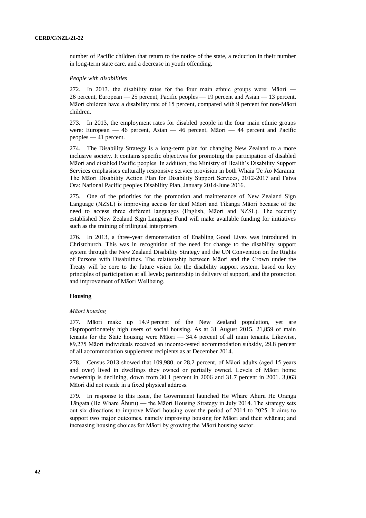number of Pacific children that return to the notice of the state, a reduction in their number in long-term state care, and a decrease in youth offending.

# *People with disabilities*

272. In 2013, the disability rates for the four main ethnic groups were: Māori — 26 percent, European — 25 percent, Pacific peoples — 19 percent and Asian — 13 percent. Māori children have a disability rate of 15 percent, compared with 9 percent for non-Māori children.

273. In 2013, the employment rates for disabled people in the four main ethnic groups were: European — 46 percent, Asian — 46 percent, Māori — 44 percent and Pacific peoples — 41 percent.

274. The Disability Strategy is a long-term plan for changing New Zealand to a more inclusive society. It contains specific objectives for promoting the participation of disabled Māori and disabled Pacific peoples. In addition, the Ministry of Health's Disability Support Services emphasises culturally responsive service provision in both Whaia Te Ao Marama: The Māori Disability Action Plan for Disability Support Services, 2012-2017 and Faiva Ora: National Pacific peoples Disability Plan, January 2014-June 2016.

275. One of the priorities for the promotion and maintenance of New Zealand Sign Language (NZSL) is improving access for deaf Māori and Tikanga Māori because of the need to access three different languages (English, Māori and NZSL). The recently established New Zealand Sign Language Fund will make available funding for initiatives such as the training of trilingual interpreters.

276. In 2013, a three-year demonstration of Enabling Good Lives was introduced in Christchurch. This was in recognition of the need for change to the disability support system through the New Zealand Disability Strategy and the UN Convention on the Rights of Persons with Disabilities. The relationship between Māori and the Crown under the Treaty will be core to the future vision for the disability support system, based on key principles of participation at all levels; partnership in delivery of support, and the protection and improvement of Māori Wellbeing.

# **Housing**

## *Māori housing*

277. Māori make up 14.9 percent of the New Zealand population, yet are disproportionately high users of social housing. As at 31 August 2015, 21,859 of main tenants for the State housing were Māori — 34.4 percent of all main tenants. Likewise, 89,275 Māori individuals received an income-tested accommodation subsidy, 29.8 percent of all accommodation supplement recipients as at December 2014.

278. Census 2013 showed that 109,980, or 28.2 percent, of Māori adults (aged 15 years and over) lived in dwellings they owned or partially owned. Levels of Māori home ownership is declining, down from 30.1 percent in 2006 and 31.7 percent in 2001. 3,063 Māori did not reside in a fixed physical address.

279. In response to this issue, the Government launched He Whare Āhuru He Oranga Tāngata (He Whare Āhuru) — the Māori Housing Strategy in July 2014. The strategy sets out six directions to improve Māori housing over the period of 2014 to 2025. It aims to support two major outcomes, namely improving housing for Māori and their whānau; and increasing housing choices for Māori by growing the Māori housing sector.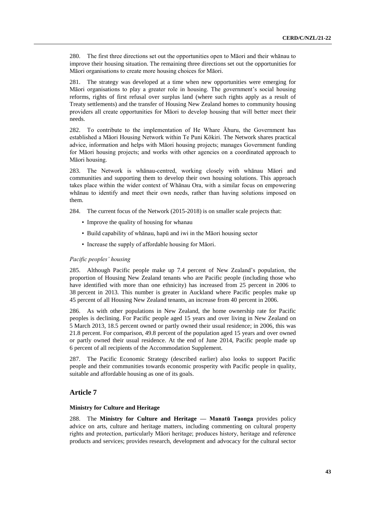280. The first three directions set out the opportunities open to Māori and their whānau to improve their housing situation. The remaining three directions set out the opportunities for Māori organisations to create more housing choices for Māori.

281. The strategy was developed at a time when new opportunities were emerging for Māori organisations to play a greater role in housing. The government's social housing reforms, rights of first refusal over surplus land (where such rights apply as a result of Treaty settlements) and the transfer of Housing New Zealand homes to community housing providers all create opportunities for Māori to develop housing that will better meet their needs.

282. To contribute to the implementation of He Whare Āhuru, the Government has established a Māori Housing Network within Te Puni Kōkiri. The Network shares practical advice, information and helps with Māori housing projects; manages Government funding for Māori housing projects; and works with other agencies on a coordinated approach to Māori housing.

283. The Network is whānau-centred, working closely with whānau Māori and communities and supporting them to develop their own housing solutions. This approach takes place within the wider context of Whānau Ora, with a similar focus on empowering whānau to identify and meet their own needs, rather than having solutions imposed on them.

284. The current focus of the Network (2015-2018) is on smaller scale projects that:

- Improve the quality of housing for whanau
- Build capability of whānau, hapū and iwi in the Māori housing sector
- Increase the supply of affordable housing for Māori.

# *Pacific peoples' housing*

285. Although Pacific people make up 7.4 percent of New Zealand's population, the proportion of Housing New Zealand tenants who are Pacific people (including those who have identified with more than one ethnicity) has increased from 25 percent in 2006 to 38 percent in 2013. This number is greater in Auckland where Pacific peoples make up 45 percent of all Housing New Zealand tenants, an increase from 40 percent in 2006.

286. As with other populations in New Zealand, the home ownership rate for Pacific peoples is declining. For Pacific people aged 15 years and over living in New Zealand on 5 March 2013, 18.5 percent owned or partly owned their usual residence; in 2006, this was 21.8 percent. For comparison, 49.8 percent of the population aged 15 years and over owned or partly owned their usual residence. At the end of June 2014, Pacific people made up 6 percent of all recipients of the Accommodation Supplement.

287. The Pacific Economic Strategy (described earlier) also looks to support Pacific people and their communities towards economic prosperity with Pacific people in quality, suitable and affordable housing as one of its goals.

# **Article 7**

# **Ministry for Culture and Heritage**

288. The **Ministry for Culture and Heritage — Manatū Taonga** provides policy advice on arts, culture and heritage matters, including commenting on cultural property rights and protection, particularly Māori heritage; produces history, heritage and reference products and services; provides research, development and advocacy for the cultural sector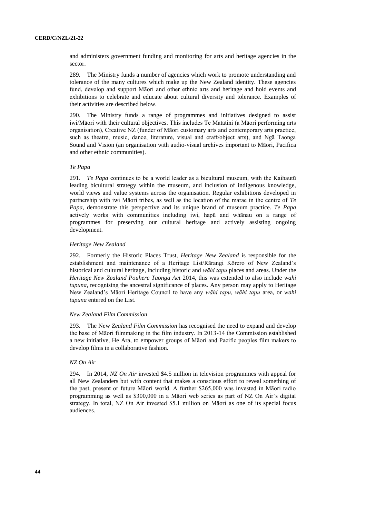and administers government funding and monitoring for arts and heritage agencies in the sector.

289. The Ministry funds a number of agencies which work to promote understanding and tolerance of the many cultures which make up the New Zealand identity. These agencies fund, develop and support Māori and other ethnic arts and heritage and hold events and exhibitions to celebrate and educate about cultural diversity and tolerance. Examples of their activities are described below.

290. The Ministry funds a range of programmes and initiatives designed to assist iwi/Māori with their cultural objectives. This includes Te Matatini (a Māori performing arts organisation), Creative NZ (funder of Māori customary arts and contemporary arts practice, such as theatre, music, dance, literature, visual and craft/object arts), and Ngā Taonga Sound and Vision (an organisation with audio-visual archives important to Māori, Pacifica and other ethnic communities).

# *Te Papa*

291. *Te Papa* continues to be a world leader as a bicultural museum, with the Kaihautū leading bicultural strategy within the museum, and inclusion of indigenous knowledge, world views and value systems across the organisation. Regular exhibitions developed in partnership with iwi Māori tribes, as well as the location of the marae in the centre of *Te Papa*, demonstrate this perspective and its unique brand of museum practice. *Te Papa* actively works with communities including iwi, hapū and whānau on a range of programmes for preserving our cultural heritage and actively assisting ongoing development.

#### *Heritage New Zealand*

292. Formerly the Historic Places Trust, *Heritage New Zealand* is responsible for the establishment and maintenance of a Heritage List/Rārangi Kōrero of New Zealand's historical and cultural heritage, including historic and *wāhi tapu* places and areas. Under the *Heritage New Zealand Pouhere Taonga Act* 2014, this was extended to also include *wahi tupuna*, recognising the ancestral significance of places. Any person may apply to Heritage New Zealand's Māori Heritage Council to have any *wāhi tapu*, *wāhi tapu* area, or *wahi tupuna* entered on the List.

#### *New Zealand Film Commission*

293. The New *Zealand Film Commission* has recognised the need to expand and develop the base of Māori filmmaking in the film industry. In 2013-14 the Commission established a new initiative, He Ara, to empower groups of Māori and Pacific peoples film makers to develop films in a collaborative fashion.

# *NZ On Air*

294. In 2014, *NZ On Air* invested \$4.5 million in television programmes with appeal for all New Zealanders but with content that makes a conscious effort to reveal something of the past, present or future Māori world. A further \$265,000 was invested in Māori radio programming as well as \$300,000 in a Māori web series as part of NZ On Air's digital strategy. In total, NZ On Air invested \$5.1 million on Māori as one of its special focus audiences.